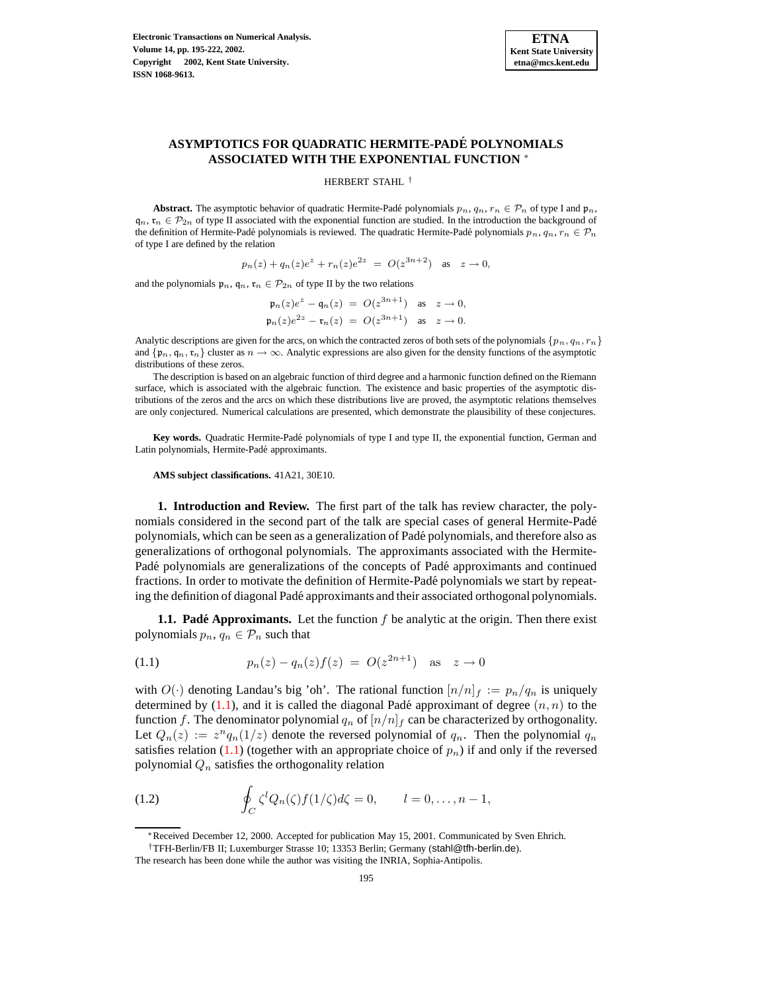

# **ASYMPTOTICS FOR QUADRATIC HERMITE-PADE´ POLYNOMIALS ASSOCIATED WITH THE EXPONENTIAL FUNCTION** <sup>∗</sup>

HERBERT STAHL †

**Abstract.** The asymptotic behavior of quadratic Hermite-Padĕ polynomials  $p_n, q_n, r_n \in \mathcal{P}_n$  of type I and  $\mathfrak{p}_n$ ,  $q_n$ ,  $r_n \in \mathcal{P}_{2n}$  of type II associated with the exponential function are studied. In the introduction the background of the definition of Hermite-Pade´ polynomials is reviewed. The quadratic Hermite-Pade´ polynomials  $p_n, q_n, r_n \in \mathcal{P}_n$ of type I are defined by the relation

$$
p_n(z) + q_n(z)e^z + r_n(z)e^{2z} = O(z^{3n+2})
$$
 as  $z \to 0$ ,

and the polynomials  $\mathfrak{p}_n$ ,  $\mathfrak{q}_n$ ,  $\mathfrak{r}_n \in \mathcal{P}_{2n}$  of type II by the two relations

$$
\begin{aligned} \mathfrak{p}_n(z)e^z - \mathfrak{q}_n(z) &= O(z^{3n+1}) \quad \text{as} \quad z \to 0, \\ \mathfrak{p}_n(z)e^{2z} - \mathfrak{r}_n(z) &= O(z^{3n+1}) \quad \text{as} \quad z \to 0. \end{aligned}
$$

Analytic descriptions are given for the arcs, on which the contracted zeros of both sets of the polynomials  $\{p_n, q_n, r_n\}$ and  $\{p_n, q_n, r_n\}$  cluster as  $n \to \infty$ . Analytic expressions are also given for the density functions of the asymptotic distributions of these zeros.

The description is based on an algebraic function of third degree and a harmonic function defined on the Riemann surface, which is associated with the algebraic function. The existence and basic properties of the asymptotic distributions of the zeros and the arcs on which these distributions live are proved, the asymptotic relations themselves are only conjectured. Numerical calculations are presented, which demonstrate the plausibility of these conjectures.

**Key words.** Quadratic Hermite-Pade´ polynomials of type I and type II, the exponential function, German and Latin polynomials, Hermite-Padé approximants.

**AMS subject classifications.** 41A21, 30E10.

**1. Introduction and Review.** The first part of the talk has review character, the polynomials considered in the second part of the talk are special cases of general Hermite-Pade´ polynomials, which can be seen as a generalization of Pade´ polynomials, and therefore also as generalizations of orthogonal polynomials. The approximants associated with the Hermite-Pade<sup>\*</sup> polynomials are generalizations of the concepts of Pade<sup>\*</sup> approximants and continued fractions. In order to motivate the definition of Hermite-Padé polynomials we start by repeating the definition of diagonal Padé approximants and their associated orthogonal polynomials.

<span id="page-0-0"></span>**1.1. Padé Approximants.** Let the function f be analytic at the origin. Then there exist polynomials  $p_n, q_n \in \mathcal{P}_n$  such that

(1.1) 
$$
p_n(z) - q_n(z)f(z) = O(z^{2n+1}) \text{ as } z \to 0
$$

with  $O(\cdot)$  denoting Landau's big 'oh'. The rational function  $[n/n]_f := p_n/q_n$  is uniquely determined by  $(1.1)$ , and it is called the diagonal Padé approximant of degree  $(n, n)$  to the function f. The denominator polynomial  $q_n$  of  $[n/n]_f$  can be characterized by orthogonality. Let  $Q_n(z) := z^n q_n(1/z)$  denote the reversed polynomial of  $q_n$ . Then the polynomial  $q_n$ satisfies relation [\(1.1\)](#page-0-0) (together with an appropriate choice of  $p_n$ ) if and only if the reversed polynomial  $Q_n$  satisfies the orthogonality relation

<span id="page-0-1"></span>(1.2) 
$$
\oint_C \zeta^l Q_n(\zeta) f(1/\zeta) d\zeta = 0, \qquad l = 0, \ldots, n-1,
$$

<sup>∗</sup>Received December 12, 2000. Accepted for publication May 15, 2001. Communicated by Sven Ehrich.

<sup>†</sup>TFH-Berlin/FB II; Luxemburger Strasse 10; 13353 Berlin; Germany (stahl@tfh-berlin.de).

The research has been done while the author was visiting the INRIA, Sophia-Antipolis.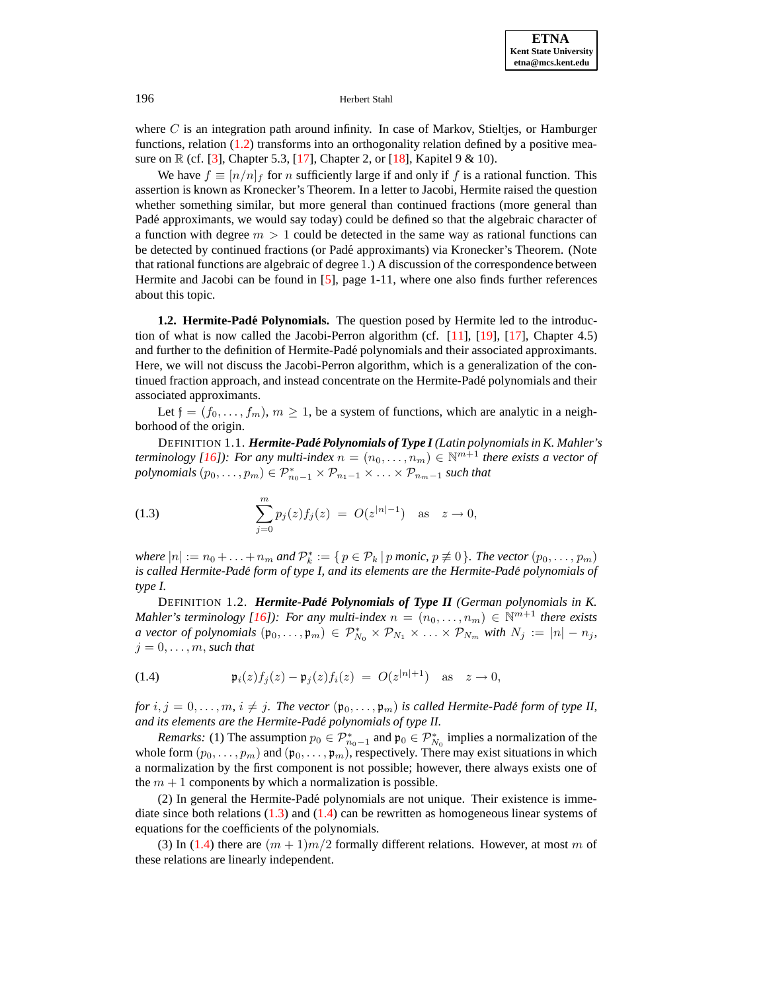where  $C$  is an integration path around infinity. In case of Markov, Stieltjes, or Hamburger functions, relation [\(1.2\)](#page-0-1) transforms into an orthogonality relation defined by a positive mea-sure on R (cf. [\[3\]](#page-27-0), Chapter 5.3, [\[17\]](#page-27-1), Chapter 2, or [\[18\]](#page-27-2), Kapitel 9 & 10).

We have  $f \equiv [n/n]_f$  for n sufficiently large if and only if f is a rational function. This assertion is known as Kronecker's Theorem. In a letter to Jacobi, Hermite raised the question whether something similar, but more general than continued fractions (more general than Padé approximants, we would say today) could be defined so that the algebraic character of a function with degree  $m > 1$  could be detected in the same way as rational functions can be detected by continued fractions (or Pade´ approximants) via Kronecker's Theorem. (Note that rational functions are algebraic of degree 1.) A discussion of the correspondence between Hermite and Jacobi can be found in [\[5\]](#page-27-3), page 1-11, where one also finds further references about this topic.

**1.2. Hermite-Padé Polynomials.** The question posed by Hermite led to the introduction of what is now called the Jacobi-Perron algorithm (cf.  $[11]$ ,  $[19]$ ,  $[17]$ , Chapter 4.5) and further to the definition of Hermite-Pade´ polynomials and their associated approximants. Here, we will not discuss the Jacobi-Perron algorithm, which is a generalization of the continued fraction approach, and instead concentrate on the Hermite-Pade´ polynomials and their associated approximants.

<span id="page-1-2"></span>Let  $f = (f_0, \ldots, f_m)$ ,  $m \ge 1$ , be a system of functions, which are analytic in a neighborhood of the origin.

<span id="page-1-0"></span>DEFINITION 1.1. *Hermite-Pade´ Polynomials of Type I (Latin polynomialsin K. Mahler's terminology* [\[16\]](#page-27-6)): For any multi-index  $n = (n_0, \ldots, n_m) \in \mathbb{N}^{m+1}$  there exists a vector of  $polynomials (p_0, \ldots, p_m) \in \mathcal{P}_{n_0-1}^* \times \mathcal{P}_{n_1-1} \times \ldots \times \mathcal{P}_{n_m-1}$  *such that* 

(1.3) 
$$
\sum_{j=0}^{m} p_j(z) f_j(z) = O(z^{|n|-1}) \text{ as } z \to 0,
$$

*where*  $|n| := n_0 + \ldots + n_m$  and  $\mathcal{P}_k^* := \{ p \in \mathcal{P}_k \mid p \text{ monic}, p \neq 0 \}$ . The vector  $(p_0, \ldots, p_m)$ *is called Hermite-Pade´ form of type I, and its elements are the Hermite-Pade´ polynomials of type I.*

<span id="page-1-3"></span><span id="page-1-1"></span>DEFINITION 1.2. *Hermite-Pade´ Polynomials of Type II (German polynomials in K. Mahler's terminology* [\[16\]](#page-27-6)): For any *multi-index*  $n = (n_0, \ldots, n_m) \in \mathbb{N}^{m+1}$  *there exists a vector of polynomials*  $(\mathfrak{p}_0, \ldots, \mathfrak{p}_m) \in \mathcal{P}_{N_0}^* \times \mathcal{P}_{N_1} \times \ldots \times \mathcal{P}_{N_m}$  *with*  $N_j := |n| - n_j$ *,*  $j = 0, \ldots, m$ , *such that* 

(1.4) 
$$
\mathfrak{p}_i(z) f_j(z) - \mathfrak{p}_j(z) f_i(z) = O(z^{|n|+1}) \text{ as } z \to 0,
$$

*for*  $i, j = 0, \ldots, m, i \neq j$ . The vector  $(\mathfrak{p}_0, \ldots, \mathfrak{p}_m)$  is called Hermite-Padé form of type II, *and its elements are the Hermite-Pade´ polynomials of type II.*

*Remarks:* (1) The assumption  $p_0 \in \mathcal{P}_{n_0-1}^*$  and  $\mathfrak{p}_0 \in \mathcal{P}_{N_0}^*$  implies a normalization of the whole form  $(p_0, \ldots, p_m)$  and  $(p_0, \ldots, p_m)$ , respectively. There may exist situations in which a normalization by the first component is not possible; however, there always exists one of the  $m + 1$  components by which a normalization is possible.

(2) In general the Hermite-Pade´ polynomials are not unique. Their existence is immediate since both relations  $(1.3)$  and  $(1.4)$  can be rewritten as homogeneous linear systems of equations for the coefficients of the polynomials.

(3) In [\(1.4\)](#page-1-1) there are  $(m + 1)m/2$  formally different relations. However, at most m of these relations are linearly independent.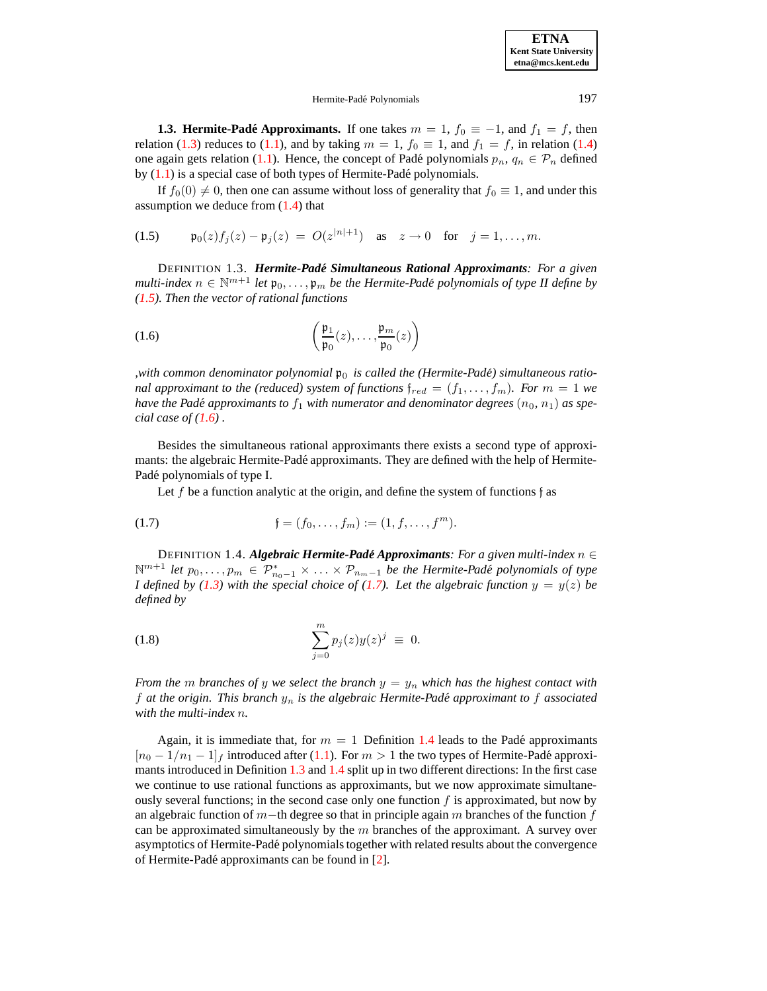# Hermite-Padé Polynomials 197

**1.3. Hermite-Padé Approximants.** If one takes  $m = 1$ ,  $f_0 \equiv -1$ , and  $f_1 = f$ , then relation [\(1.3\)](#page-1-0) reduces to [\(1.1\)](#page-0-0), and by taking  $m = 1$ ,  $f_0 \equiv 1$ , and  $f_1 = f$ , in relation [\(1.4\)](#page-1-1) one again gets relation [\(1.1\)](#page-0-0). Hence, the concept of Padé polynomials  $p_n, q_n \in \mathcal{P}_n$  defined by  $(1.1)$  is a special case of both types of Hermite-Padé polynomials.

<span id="page-2-0"></span>If  $f_0(0) \neq 0$ , then one can assume without loss of generality that  $f_0 \equiv 1$ , and under this assumption we deduce from  $(1.4)$  that

(1.5) 
$$
\mathfrak{p}_0(z)f_j(z) - \mathfrak{p}_j(z) = O(z^{|n|+1})
$$
 as  $z \to 0$  for  $j = 1, ..., m$ .

<span id="page-2-4"></span><span id="page-2-1"></span>DEFINITION 1.3. *Hermite-Pade´ Simultaneous Rational Approximants: For a given*  $m$ ulti-index  $n \in \mathbb{N}^{m+1}$  *let*  $\mathfrak{p}_0, \ldots, \mathfrak{p}_m$  *be the Hermite-Padé polynomials of type II define by [\(1.5\)](#page-2-0). Then the vector of rational functions*

(1.6) 
$$
\left(\frac{\mathfrak{p}_1}{\mathfrak{p}_0}(z),\ldots,\frac{\mathfrak{p}_m}{\mathfrak{p}_0}(z)\right)
$$

*,with common denominator polynomial*  $\mathfrak{p}_0$  *is called the (Hermite-Padé) simultaneous rational approximant to the (reduced) system of functions*  $f_{red} = (f_1, \ldots, f_m)$ *. For*  $m = 1$  *we have* the Padé approximants to  $f_1$  with numerator and denominator degrees  $(n_0, n_1)$  as spe*cial case of [\(1.6\)](#page-2-1) .*

Besides the simultaneous rational approximants there exists a second type of approximants: the algebraic Hermite-Padé approximants. They are defined with the help of Hermite-Padé polynomials of type I.

<span id="page-2-2"></span>Let f be a function analytic at the origin, and define the system of functions f as

(1.7) 
$$
\mathfrak{f} = (f_0, \dots, f_m) := (1, f, \dots, f^m).
$$

<span id="page-2-3"></span>DEFINITION 1.4. *Algebraic Hermite-Pade´ Approximants: For a given multi-index* n ∈  $\mathbb{N}^{m+1}$  *let*  $p_0, \ldots, p_m \in \mathcal{P}_{n_0-1}^* \times \ldots \times \mathcal{P}_{n_m-1}$  *be the Hermite-Padé polynomials of type I* defined by [\(1.3\)](#page-1-0) with the special choice of [\(1.7\)](#page-2-2). Let the algebraic function  $y = y(z)$  be *defined by*

(1.8) 
$$
\sum_{j=0}^{m} p_j(z) y(z)^j \equiv 0.
$$

*From* the *m branches* of y we select the *branch*  $y = y_n$  which has the highest contact with f *at the origin. This branch* y<sup>n</sup> *is the algebraic Hermite-Pade´ approximant to* f *associated with the multi-index* n*.*

Again, it is immediate that, for  $m = 1$  Definition [1.4](#page-2-3) leads to the Padé approximants  $[n_0 - 1/n_1 - 1]_f$  introduced after [\(1.1\)](#page-0-0). For  $m > 1$  the two types of Hermite-Padé approximants introduced in Definition [1.3](#page-2-4) and [1.4](#page-2-3) split up in two different directions: In the first case we continue to use rational functions as approximants, but we now approximate simultaneously several functions; in the second case only one function  $f$  is approximated, but now by an algebraic function of m−th degree so that in principle again m branches of the function f can be approximated simultaneously by the  $m$  branches of the approximant. A survey over asymptotics of Hermite-Padé polynomials together with related results about the convergence of Hermite-Padé approximants can be found in [\[2\]](#page-27-7).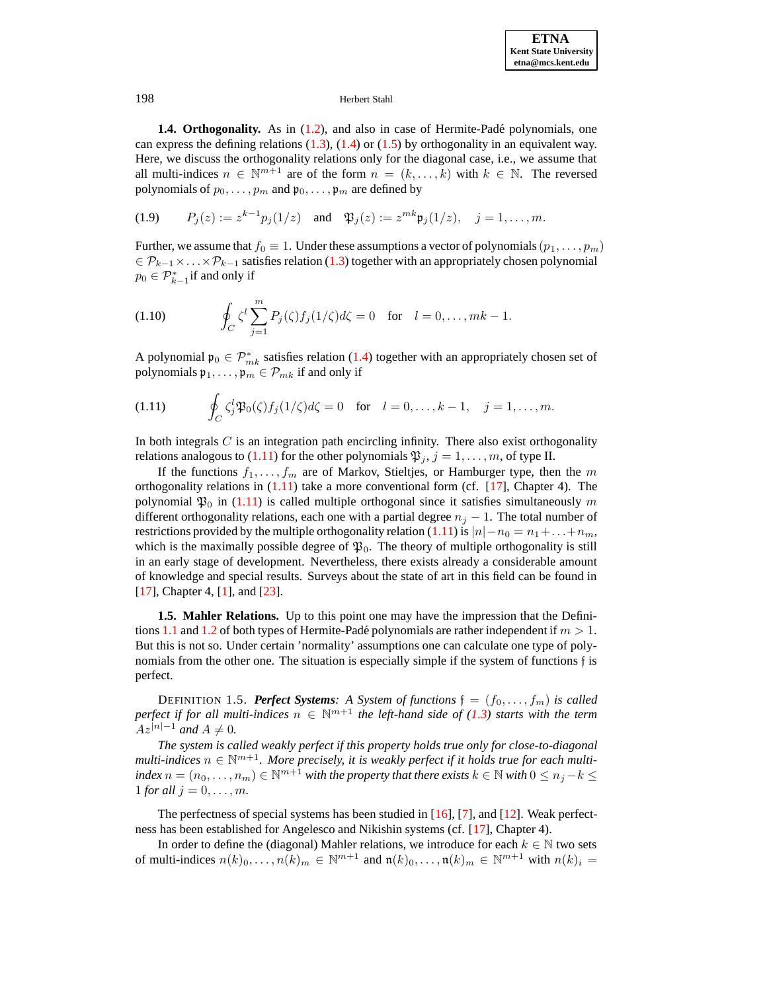**1.4. Orthogonality.** As in [\(1.2\)](#page-0-1), and also in case of Hermite-Padé polynomials, one can express the defining relations  $(1.3)$ ,  $(1.4)$  or  $(1.5)$  by orthogonality in an equivalent way. Here, we discuss the orthogonality relations only for the diagonal case, i.e., we assume that all multi-indices  $n \in \mathbb{N}^{m+1}$  are of the form  $n = (k, ..., k)$  with  $k \in \mathbb{N}$ . The reversed polynomials of  $p_0, \ldots, p_m$  and  $\mathfrak{p}_0, \ldots, \mathfrak{p}_m$  are defined by

(1.9) 
$$
P_j(z) := z^{k-1} p_j(1/z)
$$
 and  $\mathfrak{P}_j(z) := z^{mk} \mathfrak{p}_j(1/z), \quad j = 1, ..., m.$ 

Further, we assume that  $f_0 \equiv 1$ . Under these assumptions a vector of polynomials  $(p_1, \ldots, p_m)$  $\in \mathcal{P}_{k-1} \times \ldots \times \mathcal{P}_{k-1}$  satisfies relation [\(1.3\)](#page-1-0) together with an appropriately chosen polynomial  $p_0 \in \mathcal{P}_{k-1}^*$  if and only if

(1.10) 
$$
\oint_C \zeta^l \sum_{j=1}^m P_j(\zeta) f_j(1/\zeta) d\zeta = 0 \text{ for } l = 0, \dots, mk - 1.
$$

<span id="page-3-0"></span>A polynomial  $\mathfrak{p}_0 \in \mathcal{P}_{mk}^*$  satisfies relation [\(1.4\)](#page-1-1) together with an appropriately chosen set of polynomials  $\mathfrak{p}_1, \ldots, \mathfrak{p}_m \in \mathcal{P}_{mk}$  if and only if

(1.11) 
$$
\oint_C \zeta_j^l \mathfrak{P}_0(\zeta) f_j(1/\zeta) d\zeta = 0 \text{ for } l = 0, \ldots, k-1, \quad j = 1, \ldots, m.
$$

In both integrals  $C$  is an integration path encircling infinity. There also exist orthogonality relations analogous to [\(1.11\)](#page-3-0) for the other polynomials  $\mathfrak{P}_i$ ,  $j = 1, \ldots, m$ , of type II.

If the functions  $f_1, \ldots, f_m$  are of Markov, Stieltjes, or Hamburger type, then the m orthogonality relations in  $(1.11)$  take a more conventional form (cf. [\[17\]](#page-27-1), Chapter 4). The polynomial  $\mathfrak{P}_0$  in [\(1.11\)](#page-3-0) is called multiple orthogonal since it satisfies simultaneously m different orthogonality relations, each one with a partial degree  $n_j - 1$ . The total number of restrictions provided by the multiple orthogonality relation [\(1.11\)](#page-3-0) is  $|n| - n_0 = n_1 + ... + n_m$ , which is the maximally possible degree of  $\mathfrak{P}_0$ . The theory of multiple orthogonality is still in an early stage of development. Nevertheless, there exists already a considerable amount of knowledge and special results. Surveys about the state of art in this field can be found in [\[17\]](#page-27-1), Chapter 4, [\[1\]](#page-27-8), and [\[23\]](#page-27-9).

**1.5. Mahler Relations.** Up to this point one may have the impression that the Defini-tions [1.1](#page-1-2) and [1.2](#page-1-3) of both types of Hermite-Padé polynomials are rather independent if  $m > 1$ . But this is not so. Under certain 'normality' assumptions one can calculate one type of polynomials from the other one. The situation is especially simple if the system of functions f is perfect.

**DEFINITION 1.5.** *Perfect Systems: A System of functions*  $\mathfrak{f} = (f_0, \ldots, f_m)$  *is called*  $\Delta p$  *perfect if for all multi-indices*  $n \in \mathbb{N}^{m+1}$  *the left-hand side of* [\(1.3\)](#page-1-0) *starts with the term*  $Az^{|n|-1}$  *and*  $A \neq 0$ *.* 

*The system is called weakly perfect if this property holds true only for close-to-diagonal*  $multi$ -indices  $n \in \mathbb{N}^{m+1}$ . More precisely, it is weakly perfect if it holds true for each multi $index\ n = (n_0, \ldots, n_m) \in \mathbb{N}^{m+1}$  *with the property that there exists*  $k \in \mathbb{N}$  *with*  $0 \leq n_j - k \leq n_j$  $1$  *for all*  $j = 0, ..., m$ .

The perfectness of special systems has been studied in [\[16\]](#page-27-6), [\[7\]](#page-27-10), and [\[12\]](#page-27-11). Weak perfectness has been established for Angelesco and Nikishin systems (cf. [\[17\]](#page-27-1), Chapter 4).

In order to define the (diagonal) Mahler relations, we introduce for each  $k \in \mathbb{N}$  two sets of multi-indices  $n(k)_0, \ldots, n(k)_m \in \mathbb{N}^{m+1}$  and  $\mathfrak{n}(k)_0, \ldots, \mathfrak{n}(k)_m \in \mathbb{N}^{m+1}$  with  $n(k)_i =$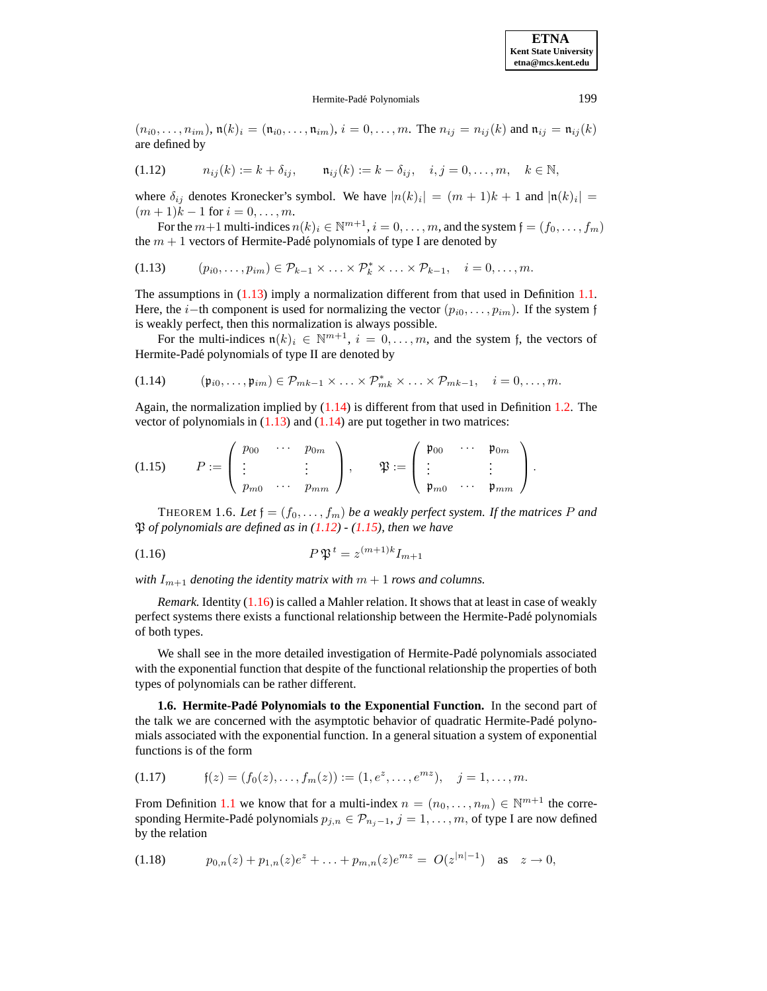#### <span id="page-4-0"></span>Hermite-Padé Polynomials 199

<span id="page-4-2"></span> $(n_{i0},...,n_{im}), \mathfrak{n}(k)_i = (\mathfrak{n}_{i0},..., \mathfrak{n}_{im}), i = 0,...,m.$  The  $n_{ij} = n_{ij}(k)$  and  $\mathfrak{n}_{ij} = \mathfrak{n}_{ij}(k)$ are defined by

(1.12) 
$$
n_{ij}(k) := k + \delta_{ij}, \quad n_{ij}(k) := k - \delta_{ij}, \quad i, j = 0, ..., m, \quad k \in \mathbb{N},
$$

where  $\delta_{ij}$  denotes Kronecker's symbol. We have  $|n(k)_i| = (m+1)k + 1$  and  $|\mathfrak{n}(k)_i|$  =  $(m + 1)k - 1$  for  $i = 0, ..., m$ .

For the  $m+1$  multi-indices  $n(k)_i \in \mathbb{N}^{m+1}$ ,  $i=0,\ldots,m$ , and the system  $\mathfrak{f}=(f_0,\ldots,f_m)$ the  $m + 1$  vectors of Hermite-Padé polynomials of type I are denoted by

$$
(1.13) \qquad (p_{i0},\ldots,p_{im}) \in \mathcal{P}_{k-1} \times \ldots \times \mathcal{P}_k^* \times \ldots \times \mathcal{P}_{k-1}, \quad i=0,\ldots,m.
$$

The assumptions in  $(1.13)$  imply a normalization different from that used in Definition [1.1.](#page-1-2) Here, the *i*−th component is used for normalizing the vector  $(p_{i0}, \ldots, p_{im})$ . If the system f is weakly perfect, then this normalization is always possible.

<span id="page-4-1"></span>For the multi-indices  $\mathfrak{n}(k)_i \in \mathbb{N}^{m+1}$ ,  $i = 0, \ldots, m$ , and the system f, the vectors of Hermite-Padé polynomials of type II are denoted by

$$
(1.14) \qquad (\mathfrak{p}_{i0},\ldots,\mathfrak{p}_{im}) \in \mathcal{P}_{mk-1} \times \ldots \times \mathcal{P}_{mk}^* \times \ldots \times \mathcal{P}_{mk-1}, \quad i=0,\ldots,m.
$$

<span id="page-4-3"></span>Again, the normalization implied by  $(1.14)$  is different from that used in Definition [1.2.](#page-1-3) The vector of polynomials in  $(1.13)$  and  $(1.14)$  are put together in two matrices:

$$
(1.15) \t P := \begin{pmatrix} p_{00} & \cdots & p_{0m} \\ \vdots & & \vdots \\ p_{m0} & \cdots & p_{mm} \end{pmatrix}, \t \mathfrak{P} := \begin{pmatrix} \mathfrak{p}_{00} & \cdots & \mathfrak{p}_{0m} \\ \vdots & & \vdots \\ \mathfrak{p}_{m0} & \cdots & \mathfrak{p}_{mm} \end{pmatrix}.
$$

<span id="page-4-4"></span>THEOREM 1.6. Let  $f = (f_0, \ldots, f_m)$  be a weakly perfect system. If the matrices P and P *of polynomials are defined as in [\(1.12\)](#page-4-2) - [\(1.15\)](#page-4-3), then we have*

$$
(1.16)\qquad \qquad P\mathfrak{P}^t = z^{(m+1)k}I_{m+1}
$$

*with*  $I_{m+1}$  *denoting the identity matrix with*  $m+1$  *rows and columns.* 

*Remark.* Identity [\(1.16\)](#page-4-4) is called a Mahler relation. It shows that at least in case of weakly perfect systems there exists a functional relationship between the Hermite-Pade´ polynomials of both types.

We shall see in the more detailed investigation of Hermite-Padé polynomials associated with the exponential function that despite of the functional relationship the properties of both types of polynomials can be rather different.

**1.6. Hermite-Pade´ Polynomials to the Exponential Function.** In the second part of the talk we are concerned with the asymptotic behavior of quadratic Hermite-Pade´ polynomials associated with the exponential function. In a general situation a system of exponential functions is of the form

$$
(1.17) \t f(z) = (f_0(z), \ldots, f_m(z)) := (1, e^z, \ldots, e^{mz}), \quad j = 1, \ldots, m.
$$

<span id="page-4-5"></span>From Definition [1.1](#page-1-2) we know that for a multi-index  $n = (n_0, \dots, n_m) \in \mathbb{N}^{m+1}$  the corresponding Hermite-Padé polynomials  $p_{j,n} \in \mathcal{P}_{n_j-1}, j = 1, \ldots, m$ , of type I are now defined by the relation

$$
(1.18) \t p_{0,n}(z) + p_{1,n}(z)e^{z} + \ldots + p_{m,n}(z)e^{mz} = O(z^{|n|-1}) \text{ as } z \to 0,
$$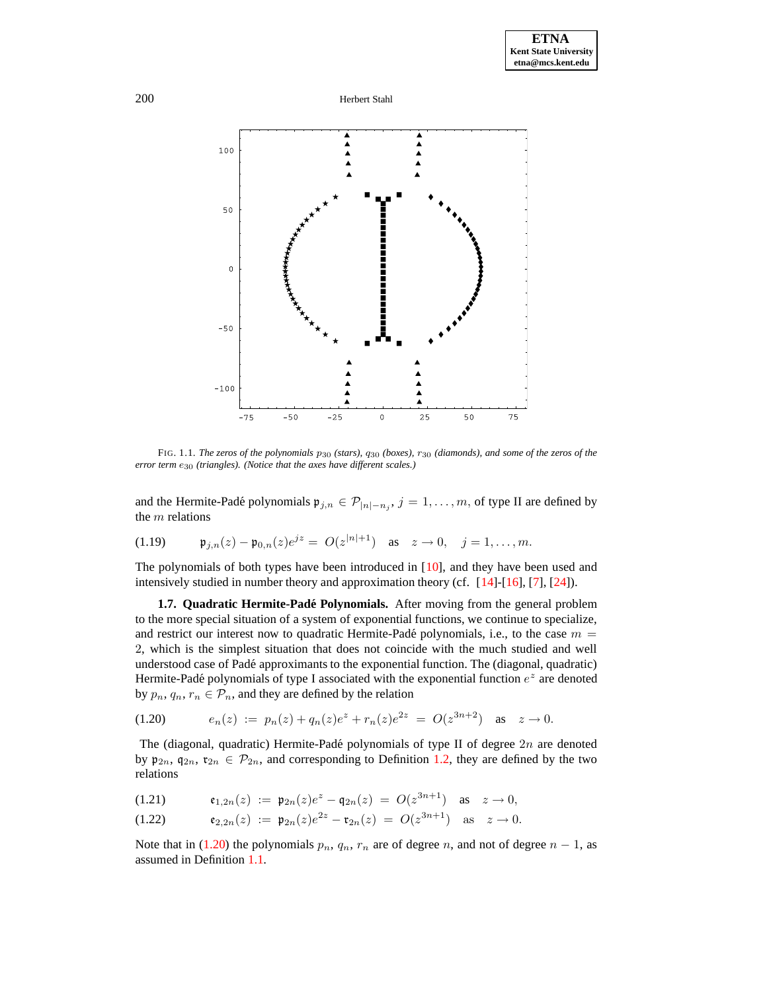

FIG. 1.1. *The zeros of the polynomials* p<sup>30</sup> *(stars),* q<sup>30</sup> *(boxes),* r<sup>30</sup> *(diamonds), and some of the zeros of the error term* e<sup>30</sup> *(triangles). (Notice that the axes have different scales.)*

and the Hermite-Padé polynomials  $\mathfrak{p}_{j,n} \in \mathcal{P}_{|n|-n_j}$ ,  $j = 1, \ldots, m$ , of type II are defined by the  $m$  relations

(1.19) 
$$
\mathfrak{p}_{j,n}(z) - \mathfrak{p}_{0,n}(z)e^{jz} = O(z^{|n|+1})
$$
 as  $z \to 0$ ,  $j = 1, ..., m$ .

The polynomials of both types have been introduced in [\[10\]](#page-27-12), and they have been used and intensively studied in number theory and approximation theory (cf. [\[14\]](#page-27-13)-[\[16\]](#page-27-6), [\[7\]](#page-27-10), [\[24\]](#page-27-14)).

**1.7. Quadratic Hermite-Pade´ Polynomials.** After moving from the general problem to the more special situation of a system of exponential functions, we continue to specialize, and restrict our interest now to quadratic Hermite-Padé polynomials, i.e., to the case  $m =$ 2, which is the simplest situation that does not coincide with the much studied and well understood case of Pade´ approximants to the exponential function. The (diagonal, quadratic) Hermite-Padé polynomials of type I associated with the exponential function  $e^z$  are denoted by  $p_n, q_n, r_n \in \mathcal{P}_n$ , and they are defined by the relation

<span id="page-5-0"></span>
$$
(1.20) \t\t e_n(z) := p_n(z) + q_n(z)e^z + r_n(z)e^{2z} = O(z^{3n+2}) \text{ as } z \to 0.
$$

The (diagonal, quadratic) Hermite-Padé polynomials of type II of degree  $2n$  are denoted by  $\mathfrak{p}_{2n}$ ,  $\mathfrak{q}_{2n}$ ,  $\mathfrak{r}_{2n} \in \mathcal{P}_{2n}$ , and corresponding to Definition [1.2,](#page-1-3) they are defined by the two relations

<span id="page-5-2"></span><span id="page-5-1"></span>(1.21) 
$$
\mathfrak{e}_{1,2n}(z) := \mathfrak{p}_{2n}(z)e^{z} - \mathfrak{q}_{2n}(z) = O(z^{3n+1}) \text{ as } z \to 0,
$$

$$
(1.22) \t\t\t\t\mathfrak{e}_{2,2n}(z) := \mathfrak{p}_{2n}(z)e^{2z} - \mathfrak{r}_{2n}(z) = O(z^{3n+1}) \text{ as } z \to 0.
$$

Note that in [\(1.20\)](#page-5-0) the polynomials  $p_n$ ,  $q_n$ ,  $r_n$  are of degree n, and not of degree  $n - 1$ , as assumed in Definition [1.1.](#page-1-2)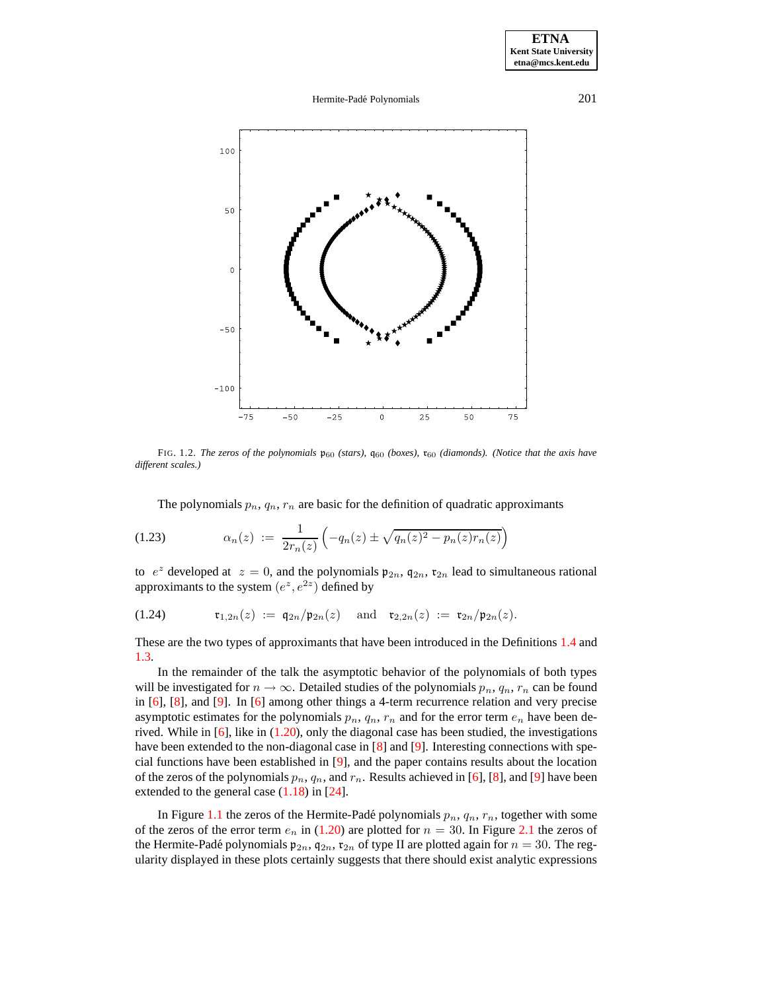# Hermite-Padé Polynomials 201



FIG. 1.2. The zeros of the polynomials  $\mathfrak{p}_{60}$  (stars),  $\mathfrak{q}_{60}$  (boxes),  $\mathfrak{r}_{60}$  (diamonds). (Notice that the axis have *different scales.)*

The polynomials  $p_n, q_n, r_n$  are basic for the definition of quadratic approximants

(1.23) 
$$
\alpha_n(z) := \frac{1}{2r_n(z)} \left( -q_n(z) \pm \sqrt{q_n(z)^2 - p_n(z)r_n(z)} \right)
$$

to  $e^z$  developed at  $z = 0$ , and the polynomials  $\mathfrak{p}_{2n}$ ,  $\mathfrak{q}_{2n}$ ,  $\mathfrak{r}_{2n}$  lead to simultaneous rational approximants to the system  $(e^z, e^{2z})$  defined by

(1.24) 
$$
\mathfrak{r}_{1,2n}(z) := \mathfrak{q}_{2n}/\mathfrak{p}_{2n}(z) \text{ and } \mathfrak{r}_{2,2n}(z) := \mathfrak{r}_{2n}/\mathfrak{p}_{2n}(z).
$$

These are the two types of approximants that have been introduced in the Definitions [1.4](#page-2-3) and [1.3.](#page-2-4)

In the remainder of the talk the asymptotic behavior of the polynomials of both types will be investigated for  $n \to \infty$ . Detailed studies of the polynomials  $p_n$ ,  $q_n$ ,  $r_n$  can be found in [\[6\]](#page-27-15), [\[8\]](#page-27-16), and [\[9\]](#page-27-17). In [\[6\]](#page-27-15) among other things a 4-term recurrence relation and very precise asymptotic estimates for the polynomials  $p_n$ ,  $q_n$ ,  $r_n$  and for the error term  $e_n$  have been derived. While in [\[6\]](#page-27-15), like in [\(1.20\)](#page-5-0), only the diagonal case has been studied, the investigations have been extended to the non-diagonal case in [\[8\]](#page-27-16) and [\[9\]](#page-27-17). Interesting connections with special functions have been established in [\[9\]](#page-27-17), and the paper contains results about the location of the zeros of the polynomials  $p_n$ ,  $q_n$ , and  $r_n$ . Results achieved in [\[6\]](#page-27-15), [\[8\]](#page-27-16), and [\[9\]](#page-27-17) have been extended to the general case  $(1.18)$  in [\[24\]](#page-27-14).

In Figure [1.1](#page-20-0) the zeros of the Hermite-Padé polynomials  $p_n$ ,  $q_n$ ,  $r_n$ , together with some of the zeros of the error term  $e_n$  in [\(1.20\)](#page-5-0) are plotted for  $n = 30$ . In Figure [2.1](#page-20-0) the zeros of the Hermite-Padé polynomials  $\mathfrak{p}_{2n}$ ,  $\mathfrak{q}_{2n}$ ,  $\mathfrak{r}_{2n}$  of type II are plotted again for  $n = 30$ . The regularity displayed in these plots certainly suggests that there should exist analytic expressions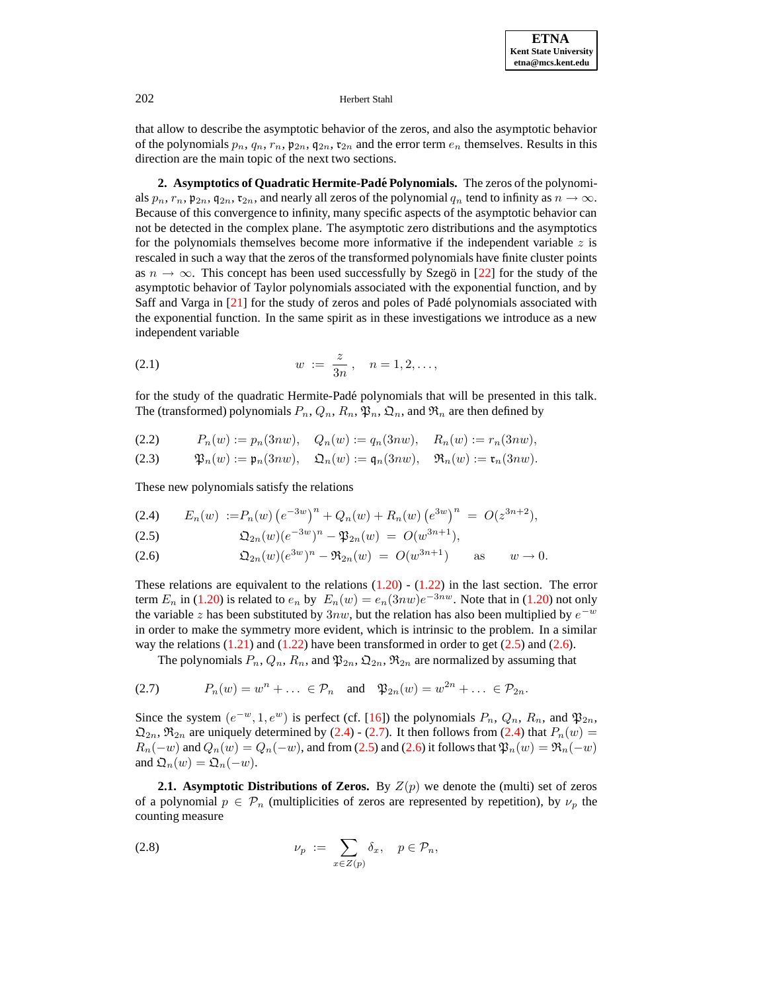that allow to describe the asymptotic behavior of the zeros, and also the asymptotic behavior of the polynomials  $p_n$ ,  $q_n$ ,  $r_n$ ,  $p_{2n}$ ,  $q_{2n}$ ,  $r_{2n}$  and the error term  $e_n$  themselves. Results in this direction are the main topic of the next two sections.

**2. Asymptotics of Quadratic Hermite-Pade´ Polynomials.** The zeros of the polynomials  $p_n$ ,  $r_n$ ,  $p_{2n}$ ,  $q_{2n}$ ,  $r_{2n}$ , and nearly all zeros of the polynomial  $q_n$  tend to infinity as  $n \to \infty$ . Because of this convergence to infinity, many specific aspects of the asymptotic behavior can not be detected in the complex plane. The asymptotic zero distributions and the asymptotics for the polynomials themselves become more informative if the independent variable  $z$  is rescaled in such a way that the zeros of the transformed polynomials have finite cluster points as  $n \to \infty$ . This concept has been used successfully by Szegö in [\[22\]](#page-27-18) for the study of the asymptotic behavior of Taylor polynomials associated with the exponential function, and by Saff and Varga in [\[21\]](#page-27-19) for the study of zeros and poles of Padé polynomials associated with the exponential function. In the same spirit as in these investigations we introduce as a new independent variable

<span id="page-7-5"></span>(2.1) 
$$
w := \frac{z}{3n}, \quad n = 1, 2, \dots,
$$

<span id="page-7-4"></span>for the study of the quadratic Hermite-Padé polynomials that will be presented in this talk. The (transformed) polynomials  $P_n, Q_n, R_n, \mathfrak{P}_n, \mathfrak{Q}_n$ , and  $\mathfrak{R}_n$  are then defined by

$$
(2.2) \tPn(w) := pn(3nw), \tQn(w) := qn(3nw), \tRn(w) := rn(3nw),
$$

$$
(2.3) \t\t\t\t\mathfrak{P}_n(w) := \mathfrak{p}_n(3nw), \t\t\t\mathfrak{Q}_n(w) := \mathfrak{q}_n(3nw), \t\t\t\mathfrak{R}_n(w) := \mathfrak{r}_n(3nw).
$$

<span id="page-7-2"></span>These new polynomials satisfy the relations

<span id="page-7-0"></span>
$$
(2.4) \tE_n(w) := P_n(w) \left( e^{-3w} \right)^n + Q_n(w) + R_n(w) \left( e^{3w} \right)^n = O(z^{3n+2}),
$$

<span id="page-7-1"></span>(2.5) 
$$
\mathfrak{Q}_{2n}(w)(e^{-3w})^n - \mathfrak{P}_{2n}(w) = O(w^{3n+1}),
$$

(2.6) 
$$
\mathfrak{Q}_{2n}(w)(e^{3w})^n - \mathfrak{R}_{2n}(w) = O(w^{3n+1}) \quad \text{as} \quad w \to 0.
$$

These relations are equivalent to the relations  $(1.20)$  -  $(1.22)$  in the last section. The error term  $E_n$  in [\(1.20\)](#page-5-0) is related to  $e_n$  by  $E_n(w) = e_n(3nw)e^{-3nw}$ . Note that in (1.20) not only the variable z has been substituted by  $3nw$ , but the relation has also been multiplied by  $e^{-w}$ in order to make the symmetry more evident, which is intrinsic to the problem. In a similar way the relations  $(1.21)$  and  $(1.22)$  have been transformed in order to get  $(2.5)$  and  $(2.6)$ .

<span id="page-7-3"></span>The polynomials  $P_n, Q_n, R_n$ , and  $\mathfrak{P}_{2n}, \mathfrak{Q}_{2n}, \mathfrak{R}_{2n}$  are normalized by assuming that

$$
(2.7) \tPn(w) = wn + \dots \in \mathcal{P}n \text{ and } \mathfrak{P}2n(w) = w2n + \dots \in \mathcal{P}2n.
$$

Since the system  $(e^{-w}, 1, e^w)$  is perfect (cf. [\[16\]](#page-27-6)) the polynomials  $P_n$ ,  $Q_n$ ,  $R_n$ , and  $\mathfrak{P}_{2n}$ ,  $\mathfrak{Q}_{2n}$ ,  $\mathfrak{R}_{2n}$  are uniquely determined by [\(2.4\)](#page-7-2) - [\(2.7\)](#page-7-3). It then follows from (2.4) that  $P_n(w)$  $R_n(-w)$  and  $Q_n(w) = Q_n(-w)$ , and from [\(2.5\)](#page-7-0) and [\(2.6\)](#page-7-1) it follows that  $\mathfrak{P}_n(w) = \mathfrak{R}_n(-w)$ and  $\mathfrak{Q}_n(w) = \mathfrak{Q}_n(-w)$ .

**2.1. Asymptotic Distributions of Zeros.** By  $Z(p)$  we denote the (multi) set of zeros of a polynomial  $p \in \mathcal{P}_n$  (multiplicities of zeros are represented by repetition), by  $\nu_p$  the counting measure

$$
\nu_p := \sum_{x \in Z(p)} \delta_x, \quad p \in \mathcal{P}_n,
$$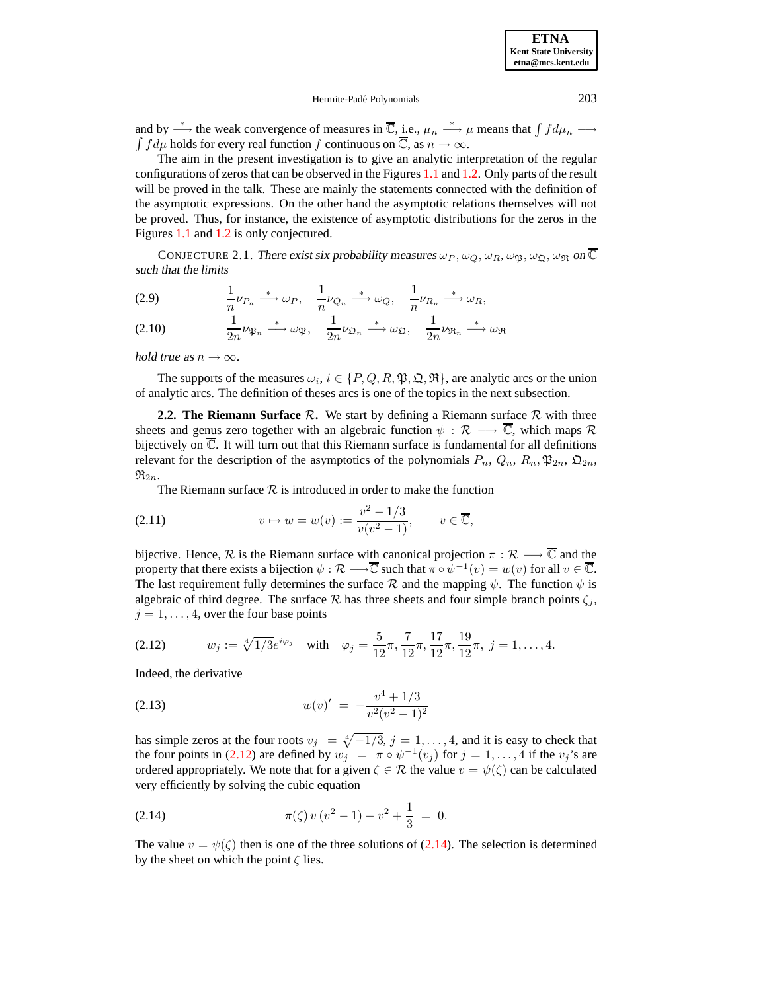

#### Hermite-Padé Polynomials 203

and by  $\stackrel{*}{\longrightarrow}$  the weak convergence of measures in  $\overline{\mathbb{C}}, \underline{\mathbf{i}}$ .e.,  $\mu_n \stackrel{*}{\longrightarrow} \mu$  means that  $\int f d\mu_n \longrightarrow$  $\int f d\mu$  holds for every real function f continuous on  $\overline{\mathbb{C}}$ , as  $n \to \infty$ .

The aim in the present investigation is to give an analytic interpretation of the regular configurations of zeros that can be observed in the Figures [1.1](#page-20-0) and [1.2.](#page-13-0) Only parts of the result will be proved in the talk. These are mainly the statements connected with the definition of the asymptotic expressions. On the other hand the asymptotic relations themselves will not be proved. Thus, for instance, the existence of asymptotic distributions for the zeros in the Figures [1.1](#page-20-0) and [1.2](#page-13-0) is only conjectured.

<span id="page-8-4"></span>CONJECTURE 2.1. There exist six probability measures  $\omega_P$ ,  $\omega_Q$ ,  $\omega_R$ ,  $\omega_{\mathfrak{D}}$ ,  $\omega_{\mathfrak{R}}$ ,  $\omega_{\mathfrak{R}}$  on  $\overline{\mathbb{C}}$ such that the *limits*

(2.9) 
$$
\frac{1}{n}\nu_{P_n} \stackrel{*}{\longrightarrow} \omega_P, \quad \frac{1}{n}\nu_{Q_n} \stackrel{*}{\longrightarrow} \omega_Q, \quad \frac{1}{n}\nu_{R_n} \stackrel{*}{\longrightarrow} \omega_R,
$$

$$
(2.10) \qquad \frac{1}{2n}\nu_{\mathfrak{P}_n} \xrightarrow{\ast} \omega_{\mathfrak{P}}, \quad \frac{1}{2n}\nu_{\mathfrak{Q}_n} \xrightarrow{\ast} \omega_{\mathfrak{Q}}, \quad \frac{1}{2n}\nu_{\mathfrak{R}_n} \xrightarrow{\ast} \omega_{\mathfrak{R}}
$$

*hold true* as  $n \to \infty$ .

The supports of the measures  $\omega_i$ ,  $i \in \{P, Q, R, \mathfrak{P}, \mathfrak{Q}, \mathfrak{R}\}$ , are analytic arcs or the union of analytic arcs. The definition of theses arcs is one of the topics in the next subsection.

**2.2.** The Riemann Surface  $\mathcal{R}$ . We start by defining a Riemann surface  $\mathcal{R}$  with three sheets and genus zero together with an algebraic function  $\psi : \mathcal{R} \longrightarrow \overline{\mathbb{C}}$ , which maps  $\mathcal R$ bijectively on  $\overline{\mathbb{C}}$ . It will turn out that this Riemann surface is fundamental for all definitions relevant for the description of the asymptotics of the polynomials  $P_n$ ,  $Q_n$ ,  $R_n$ ,  $\mathfrak{P}_{2n}$ ,  $\mathfrak{Q}_{2n}$ ,  $\mathfrak{R}_{2n}$ .

<span id="page-8-2"></span>The Riemann surface  $R$  is introduced in order to make the function

(2.11) 
$$
v \mapsto w = w(v) := \frac{v^2 - 1/3}{v(v^2 - 1)}, \qquad v \in \overline{\mathbb{C}},
$$

bijective. Hence,  $\mathcal R$  is the Riemann surface with canonical projection  $\pi : \mathcal R \longrightarrow \overline{\mathbb C}$  and the property that there exists a bijection  $\psi : \mathcal{R} \longrightarrow \overline{\mathbb{C}}$  such that  $\pi \circ \psi^{-1}(v) = w(v)$  for all  $v \in \overline{\mathbb{C}}$ . The last requirement fully determines the surface R and the mapping  $\psi$ . The function  $\psi$  is algebraic of third degree. The surface  $R$  has three sheets and four simple branch points  $\zeta_i$ ,  $j = 1, \ldots, 4$ , over the four base points

<span id="page-8-0"></span>(2.12) 
$$
w_j := \sqrt[4]{1/3}e^{i\varphi_j} \quad \text{with} \quad \varphi_j = \frac{5}{12}\pi, \frac{7}{12}\pi, \frac{17}{12}\pi, \frac{19}{12}\pi, \ j = 1, \dots, 4.
$$

<span id="page-8-3"></span>Indeed, the derivative

(2.13) 
$$
w(v)' = -\frac{v^4 + 1/3}{v^2(v^2 - 1)^2}
$$

<span id="page-8-1"></span>has simple zeros at the four roots  $v_j = \sqrt[4]{-1/3}$ ,  $j = 1, \ldots, 4$ , and it is easy to check that the four points in [\(2.12\)](#page-8-0) are defined by  $w_j = \pi \circ \psi^{-1}(v_j)$  for  $j = 1, ..., 4$  if the  $v_j$ 's are ordered appropriately. We note that for a given  $\zeta \in \mathcal{R}$  the value  $v = \psi(\zeta)$  can be calculated very efficiently by solving the cubic equation

(2.14) 
$$
\pi(\zeta) v (v^2 - 1) - v^2 + \frac{1}{3} = 0.
$$

The value  $v = \psi(\zeta)$  then is one of the three solutions of [\(2.14\)](#page-8-1). The selection is determined by the sheet on which the point  $\zeta$  lies.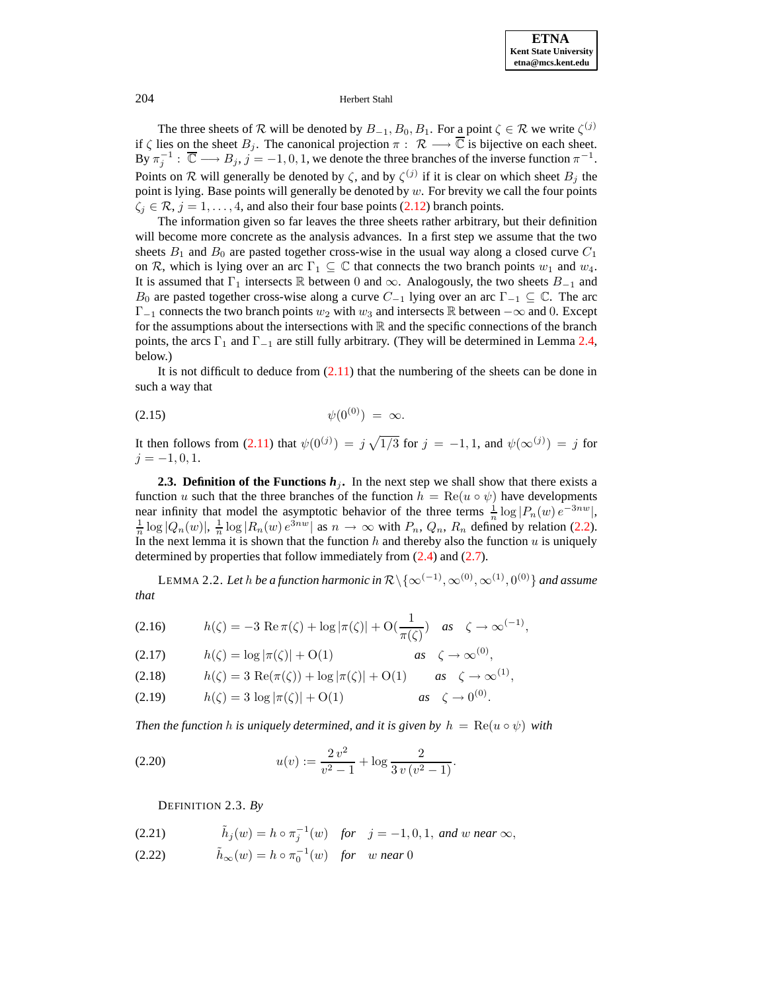

The three sheets of  $\mathcal R$  will be denoted by  $B_{-1}, B_0, B_1$ . For a point  $\zeta \in \mathcal R$  we write  $\zeta^{(j)}$ if  $\zeta$  lies on the sheet  $B_j$ . The canonical projection  $\pi : \mathcal{R} \longrightarrow \overline{\mathbb{C}}$  is bijective on each sheet. By  $\pi_j^{-1}$ :  $\overline{\mathbb{C}} \longrightarrow B_j$ ,  $j = -1, 0, 1$ , we denote the three branches of the inverse function  $\pi^{-1}$ . Points on R will generally be denoted by  $\zeta$ , and by  $\zeta^{(j)}$  if it is clear on which sheet  $B_j$  the point is lying. Base points will generally be denoted by  $w$ . For brevity we call the four points  $\zeta_j \in \mathcal{R}, j = 1, \ldots, 4$ , and also their four base points [\(2.12\)](#page-8-0) branch points.

The information given so far leaves the three sheets rather arbitrary, but their definition will become more concrete as the analysis advances. In a first step we assume that the two sheets  $B_1$  and  $B_0$  are pasted together cross-wise in the usual way along a closed curve  $C_1$ on R, which is lying over an arc  $\Gamma_1 \subseteq \mathbb{C}$  that connects the two branch points  $w_1$  and  $w_4$ . It is assumed that  $\Gamma_1$  intersects R between 0 and  $\infty$ . Analogously, the two sheets  $B_{-1}$  and  $B_0$  are pasted together cross-wise along a curve  $C_{-1}$  lying over an arc  $\Gamma_{-1} \subseteq \mathbb{C}$ . The arc  $\Gamma_{-1}$  connects the two branch points  $w_2$  with  $w_3$  and intersects R between  $-\infty$  and 0. Except for the assumptions about the intersections with  $\mathbb R$  and the specific connections of the branch points, the arcs  $\Gamma_1$  and  $\Gamma_{-1}$  are still fully arbitrary. (They will be determined in Lemma [2.4,](#page-10-0) below.)

It is not difficult to deduce from  $(2.11)$  that the numbering of the sheets can be done in such a way that

$$
\psi(0^{(0)}) = \infty.
$$

It then follows from [\(2.11\)](#page-8-2) that  $\psi(0^{(j)}) = j \sqrt{1/3}$  for  $j = -1, 1$ , and  $\psi(\infty^{(j)}) = j$  for  $j = -1, 0, 1.$ 

**2.3. Definition of the Functions**  $h_j$ **.** In the next step we shall show that there exists a function u such that the three branches of the function  $h = \text{Re}(u \circ \psi)$  have developments near infinity that model the asymptotic behavior of the three terms  $\frac{1}{n} \log |P_n(w)| e^{-3nw}$ ,  $\frac{1}{n} \log |Q_n(w)|$ ,  $\frac{1}{n} \log |R_n(w)| e^{3nw}$  as  $n \to \infty$  with  $P_n$ ,  $Q_n$ ,  $R_n$  defined by relation [\(2.2\)](#page-7-4). In the next lemma it is shown that the function  $h$  and thereby also the function  $u$  is uniquely determined by properties that follow immediately from [\(2.4\)](#page-7-2) and [\(2.7\)](#page-7-3).

<span id="page-9-7"></span>LEMMA 2.2. Let  $h$  be a function harmonic in  $\mathcal{R}\backslash\{\infty^{(-1)}, \infty^{(0)}, \infty^{(1)}, 0^{(0)}\}$  and assume *that*

<span id="page-9-3"></span><span id="page-9-2"></span>(2.16) 
$$
h(\zeta) = -3 \text{ Re } \pi(\zeta) + \log |\pi(\zeta)| + O(\frac{1}{\pi(\zeta)}) \text{ as } \zeta \to \infty^{(-1)},
$$

<span id="page-9-4"></span>
$$
(2.17) \t\t\t h(\zeta) = \log |\pi(\zeta)| + O(1) \t\t\t as \t\zeta \to \infty^{(0)},
$$

<span id="page-9-5"></span>(2.18) 
$$
h(\zeta) = 3 \text{ Re}(\pi(\zeta)) + \log |\pi(\zeta)| + O(1) \quad as \quad \zeta \to \infty^{(1)},
$$

(2.19) 
$$
h(\zeta) = 3 \log |\pi(\zeta)| + O(1)
$$
 as  $\zeta \to 0^{(0)}$ .

*Then the function h is uniquely determined, and it is given by*  $h = \text{Re}(u \circ \psi)$  *with* 

<span id="page-9-8"></span>(2.20) 
$$
u(v) := \frac{2v^2}{v^2 - 1} + \log \frac{2}{3v(v^2 - 1)}.
$$

<span id="page-9-6"></span>DEFINITION 2.3. *By*

<span id="page-9-1"></span><span id="page-9-0"></span>(2.21) 
$$
\tilde{h}_j(w) = h \circ \pi_j^{-1}(w) \text{ for } j = -1, 0, 1, \text{ and } w \text{ near } \infty,
$$

(2.22)  $\tilde{h}_{\infty}(w) = h \circ \pi_0^{-1}(w)$  *for* w *near* 0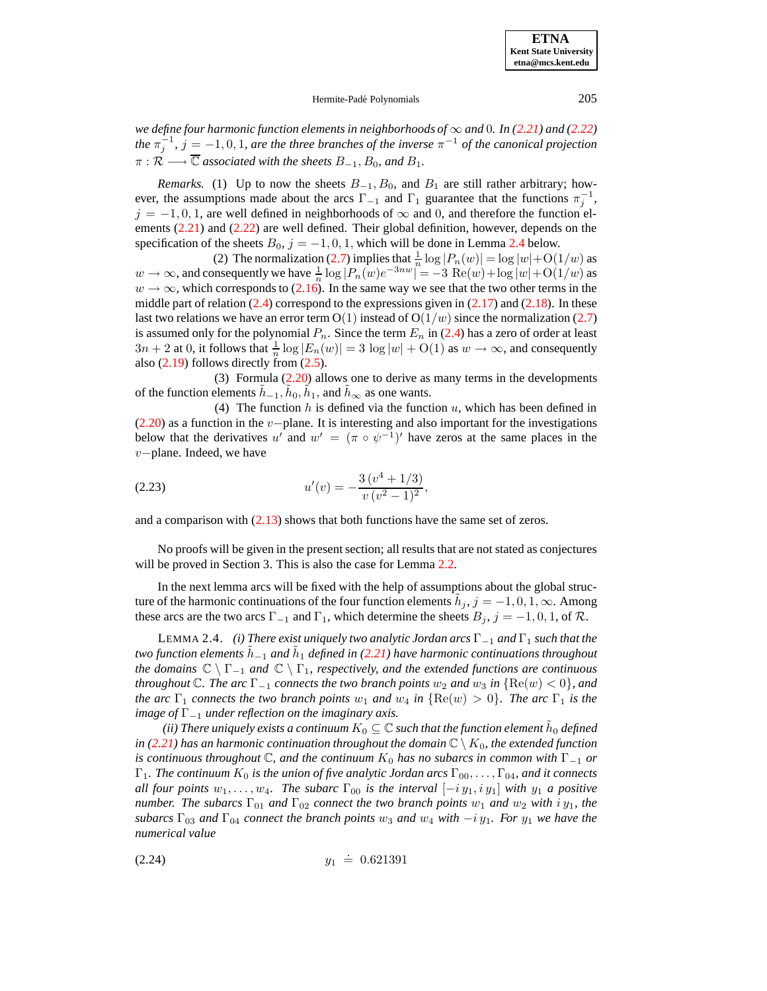# Hermite-Padé Polynomials 205

*we define four harmonic function elements in neighborhoods of* ∞ *and* 0*. In [\(2.21\)](#page-9-0) and [\(2.22\)](#page-9-1) the*  $\pi_j^{-1}$ ,  $j = -1, 0, 1$ , are the three branches of the inverse  $\pi^{-1}$  of the canonical projection  $\pi: \mathcal{R} \longrightarrow \overline{\mathbb{C}}$  *associated with the sheets*  $B_{-1}, B_0$ *, and*  $B_1$ *.* 

*Remarks.* (1) Up to now the sheets  $B_{-1}$ ,  $B_0$ , and  $B_1$  are still rather arbitrary; however, the assumptions made about the arcs  $\Gamma_{-1}$  and  $\Gamma_1$  guarantee that the functions  $\pi_j^{-1}$ ,  $j = -1, 0, 1$ , are well defined in neighborhoods of  $\infty$  and 0, and therefore the function elements [\(2.21\)](#page-9-0) and [\(2.22\)](#page-9-1) are well defined. Their global definition, however, depends on the specification of the sheets  $B_0$ ,  $j = -1, 0, 1$ , which will be done in Lemma [2.4](#page-10-0) below.

(2) The normalization [\(2.7\)](#page-7-3) implies that  $\frac{1}{n} \log |P_n(w)| = \log |w| + O(1/w)$  as  $w \to \infty$ , and consequently we have  $\frac{1}{n} \log |P_n(w)e^{-3nw}| = -3 \text{ Re}(w) + \log |w| + O(1/w)$  as  $w \to \infty$ , which corresponds to [\(2.16\)](#page-9-2). In the same way we see that the two other terms in the middle part of relation  $(2.4)$  correspond to the expressions given in  $(2.17)$  and  $(2.18)$ . In these last two relations we have an error term  $O(1)$  instead of  $O(1/w)$  since the normalization [\(2.7\)](#page-7-3) is assumed only for the polynomial  $P_n$ . Since the term  $E_n$  in [\(2.4\)](#page-7-2) has a zero of order at least  $3n + 2$  at 0, it follows that  $\frac{1}{n} \log |E_n(w)| = 3 \log |w| + O(1)$  as  $w \to \infty$ , and consequently also  $(2.19)$  follows directly from  $(2.5)$ .

(3) Formula  $(2.20)$  allows one to derive as many terms in the developments of the function elements  $\tilde{h}_{-1}$ ,  $\tilde{h}_0$ ,  $\tilde{h}_1$ , and  $\tilde{h}_{\infty}$  as one wants.

<span id="page-10-2"></span>(4) The function h is defined via the function  $u$ , which has been defined in  $(2.20)$  as a function in the v−plane. It is interesting and also important for the investigations below that the derivatives u' and  $w' = (\pi \circ \psi^{-1})'$  have zeros at the same places in the v−plane. Indeed, we have

(2.23) 
$$
u'(v) = -\frac{3(v^4 + 1/3)}{v(v^2 - 1)^2},
$$

and a comparison with  $(2.13)$  shows that both functions have the same set of zeros.

No proofs will be given in the present section; all results that are not stated as conjectures will be proved in Section 3. This is also the case for Lemma [2.2.](#page-9-7)

In the next lemma arcs will be fixed with the help of assumptions about the global structure of the harmonic continuations of the four function elements  $\tilde{h}_j$ ,  $j = -1, 0, 1, \infty$ . Among these arcs are the two arcs  $\Gamma_{-1}$  and  $\Gamma_1$ , which determine the sheets  $B_j$ ,  $j = -1, 0, 1$ , of R.

<span id="page-10-0"></span>LEMMA 2.4. *(i) There exist uniquely two analytic Jordan arcs* Γ−<sup>1</sup> *and* Γ<sup>1</sup> *such that the two function elements*  $h_{-1}$  *and*  $h_1$  *defined in* [\(2.21\)](#page-9-0) *have harmonic continuations throughout the domains*  $\mathbb{C} \setminus \Gamma_{-1}$  *and*  $\mathbb{C} \setminus \Gamma_1$ *, respectively, and the extended functions are continuous throughout*  $\mathbb{C}$ *. The arc*  $\Gamma_{-1}$  *connects the two branch points*  $w_2$  *and*  $w_3$  *in*  $\{ \text{Re}(w) < 0 \}$ *, and the* arc  $\Gamma_1$  connects the two branch points  $w_1$  and  $w_4$  in  $\{ \text{Re}(w) > 0 \}$ . The arc  $\Gamma_1$  is the *image of* Γ−<sup>1</sup> *under reflection on the imaginary axis.*

*(ii)* There uniquely exists a continuum  $K_0\subseteq\mathbb{C}$  such that the function element  $\tilde{h}_0$  defined *in* [\(2.21\)](#page-9-0) has an harmonic continuation throughout the domain  $\mathbb{C} \setminus K_0$ , the extended function *is continuous throughout*  $\mathbb{C}$ *, and the continuum*  $K_0$  *has no subarcs in common with*  $\Gamma_{-1}$  *or*  $\Gamma_1$ *. The continuum*  $K_0$  *is the union of five analytic Jordan arcs*  $\Gamma_{00}, \ldots, \Gamma_{04}$ *, and it connects all four points*  $w_1, \ldots, w_4$ *. The subarc*  $\Gamma_{00}$  *is the interval*  $[-i y_1, i y_1]$  *with*  $y_1$  *a positive number. The subarcs*  $\Gamma_{01}$  *and*  $\Gamma_{02}$  *connect the two branch points*  $w_1$  *and*  $w_2$  *with*  $i y_1$ *, the subarcs*  $\Gamma_{03}$  *and*  $\Gamma_{04}$  *connect the branch points*  $w_3$  *and*  $w_4$  *with*  $-i y_1$ *. For*  $y_1$  *we have the numerical value*

<span id="page-10-1"></span>
$$
(2.24) \t\t y_1 \doteq 0.621391
$$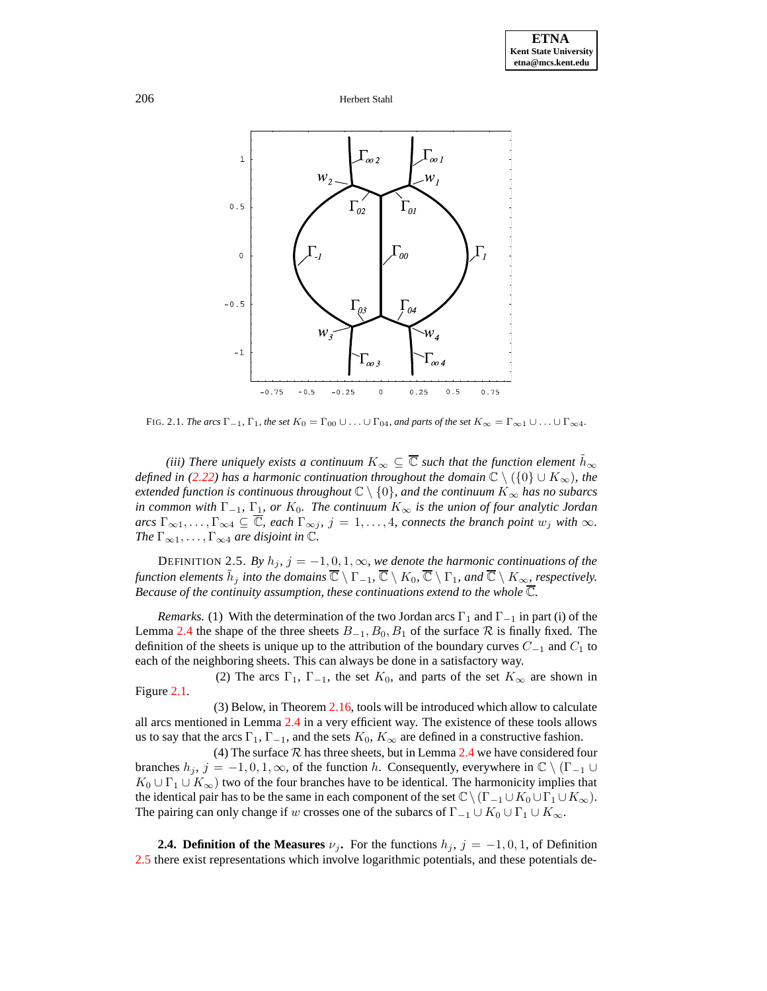

FIG. 2.1. *The arcs*  $\Gamma_{-1}$ ,  $\Gamma_1$ , the set  $K_0 = \Gamma_{00} \cup \ldots \cup \Gamma_{04}$ , and parts of the set  $K_\infty = \Gamma_{\infty 1} \cup \ldots \cup \Gamma_{\infty 4}$ .

*(iii)* There uniquely exists a continuum  $K_{\infty} \subseteq \overline{\mathbb{C}}$  such that the function element  $\tilde{h}_{\infty}$ *defined in* [\(2.22\)](#page-9-1) *has a harmonic continuation throughout the domain*  $\mathbb{C} \setminus (\{0\} \cup K_{\infty})$ *, the extended function is continuous throughout* <sup>C</sup> \ {0}*, and the continuum* <sup>K</sup><sup>∞</sup> *has no subarcs in common with*  $\Gamma_{-1}$ *,*  $\Gamma_1$ *, or*  $K_0$ *. The continuum*  $K_{\infty}$  *is the union of four analytic Jordan*  $\int \text{arcs} \Gamma_{\infty 1}, \ldots, \Gamma_{\infty 4} \subseteq \overline{\mathbb{C}}$ , each  $\Gamma_{\infty j}, j = 1, \ldots, 4$ , *connects* the branch point  $w_j$  with  $\infty$ . *The*  $\Gamma_{\infty 1}, \ldots, \Gamma_{\infty 4}$  *are disjoint in*  $\mathbb{C}$ *.* 

<span id="page-11-0"></span>DEFINITION 2.5. *By*  $h_j$ ,  $j = -1, 0, 1, \infty$ , *we denote the harmonic continuations of the function elements*  $\tilde{h}_j$  *into the domains*  $\overline{\mathbb{C}} \setminus \Gamma_{-1}$ ,  $\overline{\mathbb{C}} \setminus K_0$ ,  $\overline{\mathbb{C}} \setminus \Gamma_1$ , and  $\overline{\mathbb{C}} \setminus K_\infty$ , *respectively. Because of the continuity assumption, these continuations extend to the whole*  $\overline{\mathbb{C}}$ *.* 

*Remarks.* (1) With the determination of the two Jordan arcs  $\Gamma_1$  and  $\Gamma_{-1}$  in part (i) of the Lemma [2.4](#page-10-0) the shape of the three sheets  $B_{-1}$ ,  $B_0$ ,  $B_1$  of the surface  $R$  is finally fixed. The definition of the sheets is unique up to the attribution of the boundary curves  $C_{-1}$  and  $C_1$  to each of the neighboring sheets. This can always be done in a satisfactory way.

(2) The arcs  $\Gamma_1$ ,  $\Gamma_{-1}$ , the set  $K_0$ , and parts of the set  $K_{\infty}$  are shown in Figure [2.1.](#page-20-0)

(3) Below, in Theorem [2.16,](#page-17-0) tools will be introduced which allow to calculate all arcs mentioned in Lemma [2.4](#page-10-0) in a very efficient way. The existence of these tools allows us to say that the arcs  $\Gamma_1$ ,  $\Gamma_{-1}$ , and the sets  $K_0$ ,  $K_\infty$  are defined in a constructive fashion.

(4) The surface  $R$  has three sheets, but in Lemma [2.4](#page-10-0) we have considered four branches  $h_j$ ,  $j = -1, 0, 1, \infty$ , of the function h. Consequently, everywhere in  $\mathbb{C} \setminus (\Gamma_{-1} \cup$  $K_0 \cup \Gamma_1 \cup K_\infty$ ) two of the four branches have to be identical. The harmonicity implies that the identical pair has to be the same in each component of the set  $\mathbb{C}\setminus(\Gamma_{-1}\cup K_0\cup\Gamma_1\cup K_{\infty})$ . The pairing can only change if w crosses one of the subarcs of  $\Gamma_{-1} \cup K_0 \cup \Gamma_1 \cup K_{\infty}$ .

**2.4. Definition of the Measures**  $\nu_j$ . For the functions  $h_j$ ,  $j = -1, 0, 1$ , of Definition [2.5](#page-11-0) there exist representations which involve logarithmic potentials, and these potentials de-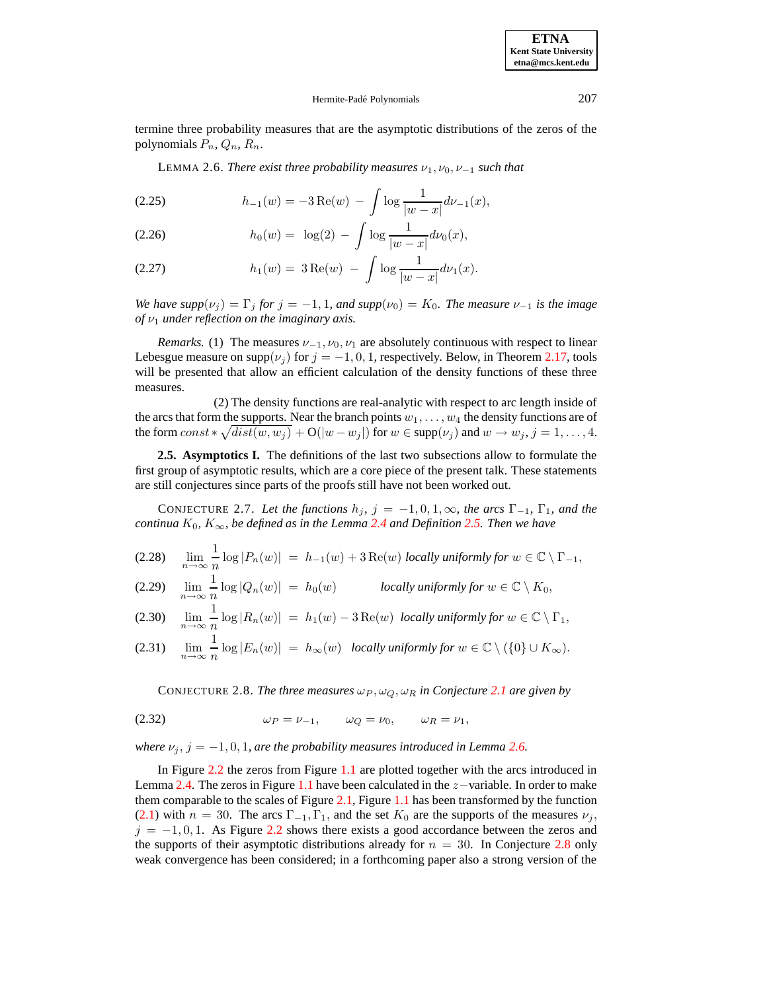#### Hermite-Padé Polynomials 207

<span id="page-12-0"></span>termine three probability measures that are the asymptotic distributions of the zeros of the polynomials  $P_n$ ,  $Q_n$ ,  $R_n$ .

LEMMA 2.6. *There exist three probability measures*  $\nu_1, \nu_0, \nu_{-1}$  *such that* 

<span id="page-12-4"></span>(2.25) 
$$
h_{-1}(w) = -3 \operatorname{Re}(w) - \int \log \frac{1}{|w - x|} d\nu_{-1}(x),
$$

<span id="page-12-5"></span><span id="page-12-3"></span>(2.26) 
$$
h_0(w) = \log(2) - \int \log \frac{1}{|w - x|} d\nu_0(x),
$$

(2.27) 
$$
h_1(w) = 3 \operatorname{Re}(w) - \int \log \frac{1}{|w - x|} d\nu_1(x).
$$

*We have*  $supp(v_i) = \Gamma_i$  *for*  $j = -1, 1$ *, and*  $supp(v_0) = K_0$ *. The measure*  $v_{-1}$  *is the image of*  $\nu_1$  *under reflection on the imaginary axis.* 

*Remarks.* (1) The measures  $\nu_{-1}, \nu_0, \nu_1$  are absolutely continuous with respect to linear Lebesgue measure on supp( $\nu_j$ ) for  $j = -1, 0, 1$ , respectively. Below, in Theorem [2.17,](#page-18-0) tools will be presented that allow an efficient calculation of the density functions of these three measures.

(2) The density functions are real-analytic with respect to arc length inside of the arcs that form the supports. Near the branch points  $w_1, \ldots, w_4$  the density functions are of the form  $const*\sqrt{dist(w, w_j)} + O(|w - w_j|)$  for  $w \in \text{supp}(\nu_j)$  and  $w \to w_j$ ,  $j = 1, ..., 4$ .

**2.5. Asymptotics I.** The definitions of the last two subsections allow to formulate the first group of asymptotic results, which are a core piece of the present talk. These statements are still conjectures since parts of the proofs still have not been worked out.

<span id="page-12-2"></span>CONJECTURE 2.7. Let the functions  $h_j$ ,  $j = -1, 0, 1, \infty$ , the arcs  $\Gamma_{-1}$ ,  $\Gamma_1$ , and the  $c$ *continua*  $K_0$ *,*  $K_{\infty}$ *, be defined as in the Lemma* [2.4](#page-10-0) *and Definition* [2.5.](#page-11-0) *Then we have* 

 $\lim_{n\to\infty}\frac{1}{n}$ (2.28)  $\lim_{n \to \infty} \frac{1}{n} \log |P_n(w)| = h_{-1}(w) + 3 \operatorname{Re}(w)$  *locally uniformly for*  $w \in \mathbb{C} \setminus \Gamma_{-1}$ ,  $\lim_{n\to\infty}\frac{1}{n}$ (2.29)  $\lim_{n \to \infty} \frac{1}{n} \log |Q_n(w)| = h_0(w)$  *locally uniformly for*  $w \in \mathbb{C} \setminus K_0$ ,  $\lim_{n\to\infty}\frac{1}{n}$ (2.30)  $\lim_{n\to\infty} \frac{1}{n} \log |R_n(w)| = h_1(w) - 3 \operatorname{Re}(w)$  *locally uniformly for*  $w \in \mathbb{C} \setminus \Gamma_1$ ,  $\lim_{n\to\infty}\frac{1}{n}$ (2.31)  $\lim_{n \to \infty} \frac{1}{n} \log |E_n(w)| = h_\infty(w)$  *locally uniformly for*  $w \in \mathbb{C} \setminus (\{0\} \cup K_\infty)$ .

CONJECTURE 2.8. *The three measures*  $\omega_P$ ,  $\omega_Q$ ,  $\omega_R$  *in Conjecture [2.1](#page-8-4) are given by* 

<span id="page-12-1"></span>
$$
\omega_P = \nu_{-1}, \qquad \omega_Q = \nu_0, \qquad \omega_R = \nu_1,
$$

*where*  $\nu_j$ ,  $j = -1, 0, 1$ , are the probability measures introduced in Lemma [2.6.](#page-12-0)

In Figure [2.2](#page-13-0) the zeros from Figure [1.1](#page-20-0) are plotted together with the arcs introduced in Lemma [2.4.](#page-10-0) The zeros in Figure [1.1](#page-20-0) have been calculated in the z−variable. In order to make them comparable to the scales of Figure [2.1,](#page-20-0) Figure [1.1](#page-20-0) has been transformed by the function [\(2.1\)](#page-7-5) with  $n = 30$ . The arcs  $\Gamma_{-1}$ ,  $\Gamma_1$ , and the set  $K_0$  are the supports of the measures  $\nu_i$ ,  $j = -1, 0, 1$ . As Figure [2.2](#page-13-0) shows there exists a good accordance between the zeros and the supports of their asymptotic distributions already for  $n = 30$ . In Conjecture [2.8](#page-12-1) only weak convergence has been considered; in a forthcoming paper also a strong version of the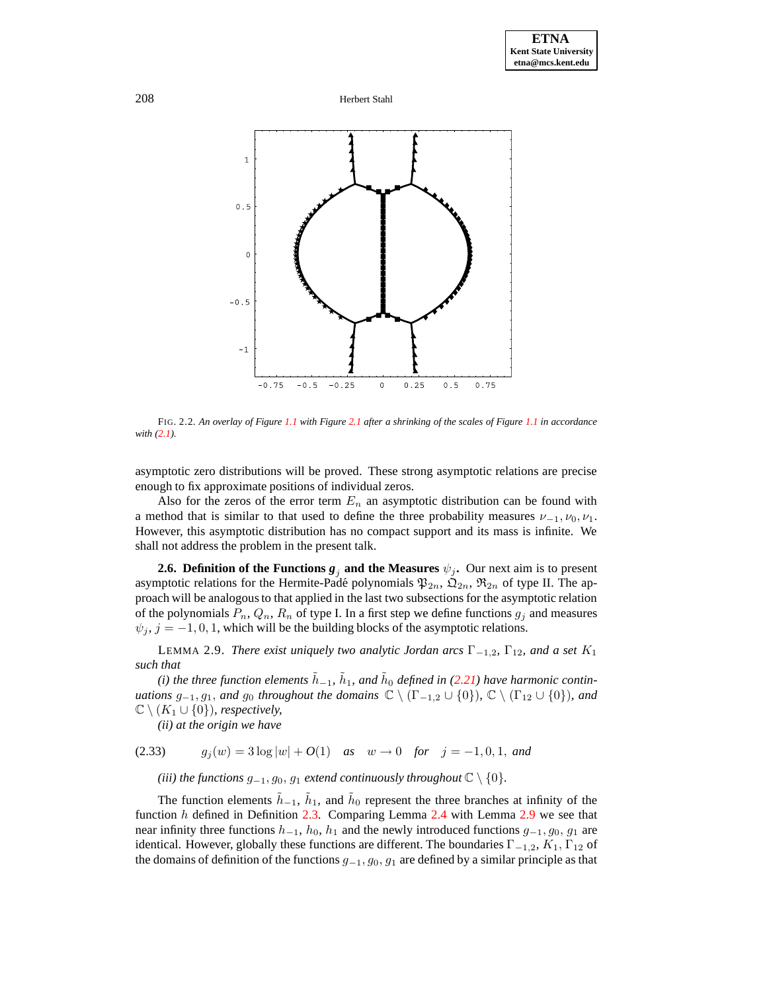

<span id="page-13-0"></span>FIG. 2.2. An overlay of Figure [1.1](#page-20-0) with Figure [2.1](#page-20-0) after a shrinking of the scales of Figure 1.1 in accordance *with [\(2.1\)](#page-7-5).*

asymptotic zero distributions will be proved. These strong asymptotic relations are precise enough to fix approximate positions of individual zeros.

Also for the zeros of the error term  $E_n$  an asymptotic distribution can be found with a method that is similar to that used to define the three probability measures  $\nu_{-1}, \nu_0, \nu_1$ . However, this asymptotic distribution has no compact support and its mass is infinite. We shall not address the problem in the present talk.

**2.6. Definition of the Functions**  $g_j$  and the Measures  $\psi_j$ . Our next aim is to present asymptotic relations for the Hermite-Padé polynomials  $\mathfrak{P}_{2n}$ ,  $\mathfrak{Q}_{2n}$ ,  $\mathfrak{R}_{2n}$  of type II. The approach will be analogous to that applied in the last two subsections for the asymptotic relation of the polynomials  $P_n, Q_n, R_n$  of type I. In a first step we define functions  $g_i$  and measures  $\psi_j$ ,  $j = -1, 0, 1$ , which will be the building blocks of the asymptotic relations.

<span id="page-13-1"></span>**LEMMA** 2.9. *There exist uniquely two analytic Jordan arcs*  $\Gamma_{-1,2}$ ,  $\Gamma_{12}$ *, and a set*  $K_1$ *such that*

 $(i)$  the three function elements  $\tilde{h}_{-1}$ ,  $\tilde{h}_1$ , and  $\tilde{h}_0$  defined in [\(2.21\)](#page-9-0) have harmonic contin*uations*  $g_{-1}, g_1$ *, and*  $g_0$  *throughout the domains*  $\mathbb{C} \setminus (\Gamma_{-1,2} \cup \{0\})$ *,*  $\mathbb{C} \setminus (\Gamma_{12} \cup \{0\})$ *, and*  $\mathbb{C} \setminus (K_1 \cup \{0\})$ *, respectively,* 

*(ii) at the origin we have*

(2.33) 
$$
g_j(w) = 3 \log |w| + O(1)
$$
 as  $w \to 0$  for  $j = -1, 0, 1$ , and

*(iii) the functions*  $g_{-1}, g_0, g_1$  *extend continuously throughout*  $\mathbb{C} \setminus \{0\}$ *.* 

The function elements  $\tilde{h}_{-1}$ ,  $\tilde{h}_1$ , and  $\tilde{h}_0$  represent the three branches at infinity of the function  $h$  defined in Definition [2.3.](#page-9-8) Comparing Lemma [2.4](#page-10-0) with Lemma [2.9](#page-13-1) we see that near infinity three functions  $h_{-1}$ ,  $h_0$ ,  $h_1$  and the newly introduced functions  $g_{-1}$ ,  $g_0$ ,  $g_1$  are identical. However, globally these functions are different. The boundaries  $\Gamma_{-1,2}$ ,  $K_1$ ,  $\Gamma_{12}$  of the domains of definition of the functions  $g_{-1}, g_0, g_1$  are defined by a similar principle as that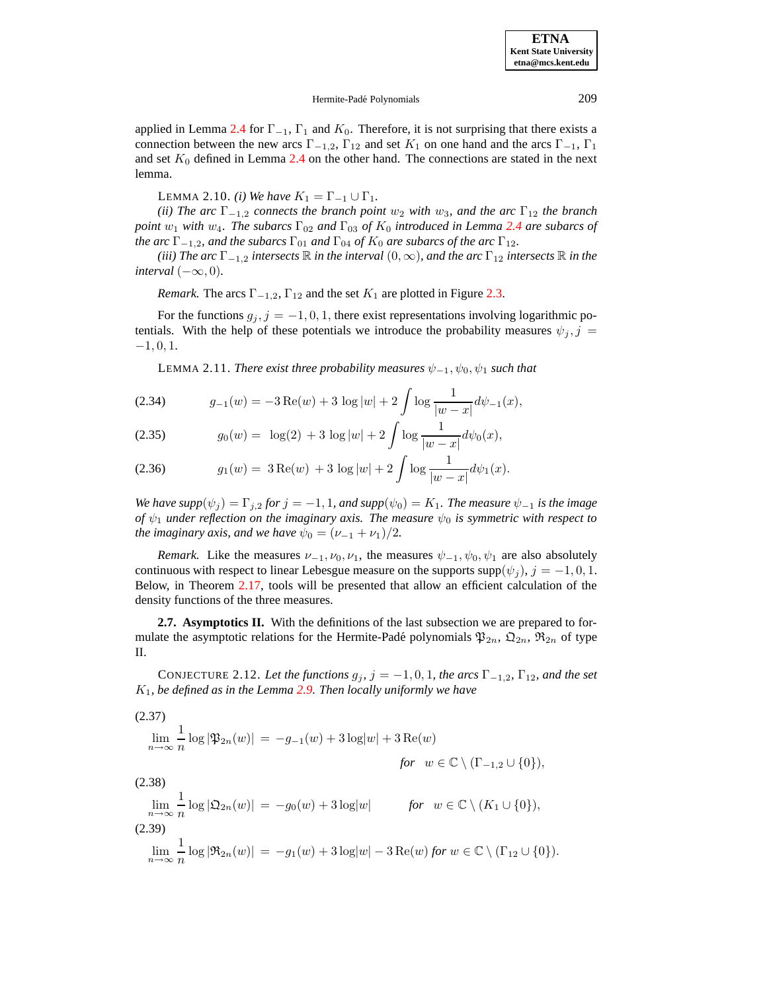# Hermite-Padé Polynomials 209

applied in Lemma [2.4](#page-10-0) for  $\Gamma_{-1}$ ,  $\Gamma_1$  and  $K_0$ . Therefore, it is not surprising that there exists a connection between the new arcs  $\Gamma_{-1,2}$ ,  $\Gamma_{12}$  and set  $K_1$  on one hand and the arcs  $\Gamma_{-1}$ ,  $\Gamma_1$ and set  $K_0$  defined in Lemma [2.4](#page-10-0) on the other hand. The connections are stated in the next lemma.

LEMMA 2.10. *(i) We have*  $K_1 = \Gamma_{-1} \cup \Gamma_1$ .

<span id="page-14-2"></span>*(ii) The*  $arc \Gamma_{-1,2}$  *connects the branch point*  $w_2$  *with*  $w_3$ *, and the*  $arc \Gamma_{12}$  *the branch point*  $w_1$  *with*  $w_4$ *. The subarcs*  $\Gamma_{02}$  *and*  $\Gamma_{03}$  *of*  $K_0$  *introduced in Lemma* [2.4](#page-10-0) *are subarcs of the*  $arc \Gamma_{-1,2}$ *, and the subarcs*  $\Gamma_{01}$  *and*  $\Gamma_{04}$  *of*  $K_0$  *are subarcs of the arc*  $\Gamma_{12}$ *.* 

 $(iii)$  *The*  $arc \Gamma_{-1,2}$  *intersects*  $\mathbb R$  *in the interval*  $(0, \infty)$ *, and the*  $arc \Gamma_{12}$  *intersects*  $\mathbb R$  *in the interval*  $(-\infty, 0)$ *.* 

*Remark.* The arcs  $\Gamma_{-1,2}$ ,  $\Gamma_{12}$  and the set  $K_1$  are plotted in Figure [2.3.](#page-15-0)

<span id="page-14-0"></span>For the functions  $g_j$ ,  $j = -1, 0, 1$ , there exist representations involving logarithmic potentials. With the help of these potentials we introduce the probability measures  $\psi_j, j =$  $-1, 0, 1.$ 

LEMMA 2.11. *There exist three probability measures*  $\psi_{-1}, \psi_0, \psi_1$  *such that* 

<span id="page-14-5"></span><span id="page-14-4"></span>(2.34) 
$$
g_{-1}(w) = -3 \operatorname{Re}(w) + 3 \log |w| + 2 \int \log \frac{1}{|w - x|} d\psi_{-1}(x),
$$

(2.35) 
$$
g_0(w) = \log(2) + 3 \log |w| + 2 \int \log \frac{1}{|w - x|} d\psi_0(x),
$$

<span id="page-14-3"></span>(2.36) 
$$
g_1(w) = 3 \operatorname{Re}(w) + 3 \log |w| + 2 \int \log \frac{1}{|w - x|} d\psi_1(x).
$$

*We have*  $supp(\psi_j) = \Gamma_{j,2}$  *<i>for*  $j = -1, 1$ *, and*  $supp(\psi_0) = K_1$ *. The measure*  $\psi_{-1}$  *is the image of*  $\psi_1$  *under reflection on the imaginary axis.* The *measure*  $\psi_0$  *is symmetric with respect to the imaginary axis, and we have*  $\psi_0 = (\nu_{-1} + \nu_1)/2$ *.* 

*Remark.* Like the measures  $\nu_{-1}, \nu_0, \nu_1$ , the measures  $\psi_{-1}, \psi_0, \psi_1$  are also absolutely continuous with respect to linear Lebesgue measure on the supports supp $(\psi_i)$ ,  $j = -1, 0, 1$ . Below, in Theorem [2.17,](#page-18-0) tools will be presented that allow an efficient calculation of the density functions of the three measures.

**2.7. Asymptotics II.** With the definitions of the last subsection we are prepared to formulate the asymptotic relations for the Hermite-Padé polynomials  $\mathfrak{P}_{2n}$ ,  $\mathfrak{Q}_{2n}$ ,  $\mathfrak{R}_{2n}$  of type II.

<span id="page-14-1"></span>CONJECTURE 2.12. Let the functions  $g_j$ ,  $j = -1, 0, 1$ , the arcs  $\Gamma_{-1,2}$ ,  $\Gamma_{12}$ , and the set K1*, be defined as in the Lemma [2.9.](#page-13-1) Then locally uniformly we have*

(2.37)  
\n
$$
\lim_{n \to \infty} \frac{1}{n} \log |\mathfrak{P}_{2n}(w)| = -g_{-1}(w) + 3 \log |w| + 3 \operatorname{Re}(w)
$$
\nfor  $w \in \mathbb{C} \setminus (\Gamma_{-1,2} \cup \{0\}),$   
\n(2.38)  
\n
$$
\lim_{n \to \infty} \frac{1}{n} \log |\mathfrak{Q}_{2n}(w)| = -g_0(w) + 3 \log |w|
$$
\nfor  $w \in \mathbb{C} \setminus (K_1 \cup \{0\}),$   
\n(2.39)  
\n
$$
\lim_{n \to \infty} \frac{1}{n} \log |\mathfrak{R}_{2n}(w)| = -g_1(w) + 3 \log |w| - 3 \operatorname{Re}(w) \text{ for } w \in \mathbb{C} \setminus (\Gamma_{12} \cup \{0\}).
$$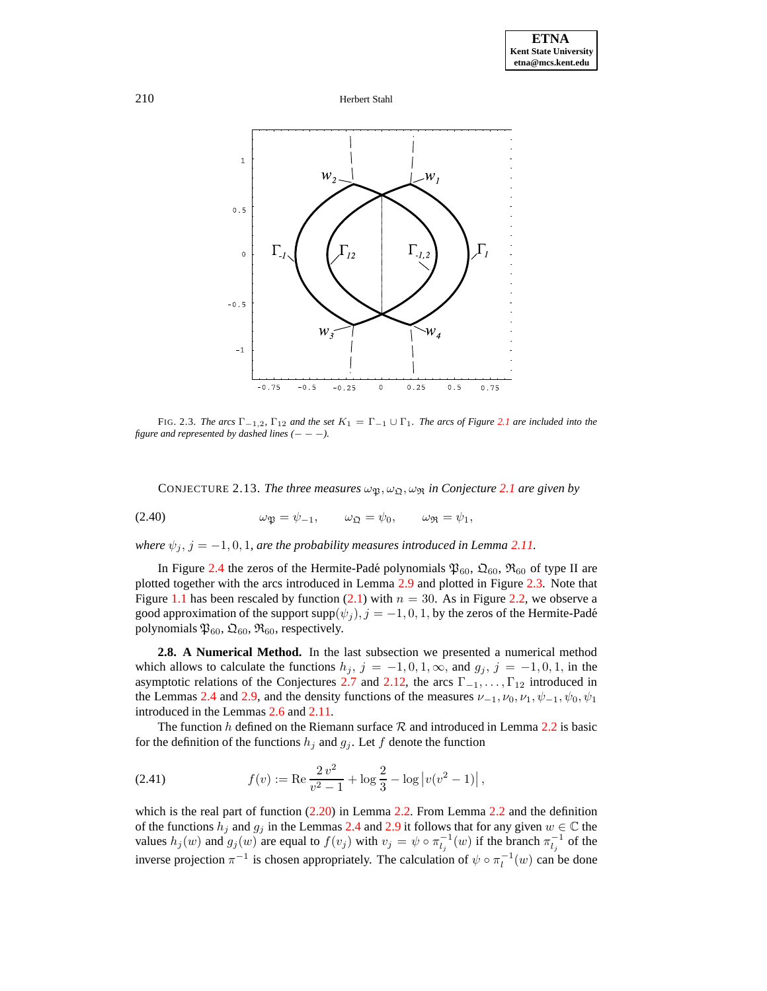

<span id="page-15-0"></span>FIG. 2.3. *The*  $arcs \Gamma_{-1,2}$ ,  $\Gamma_{12}$  *and* the set  $K_1 = \Gamma_{-1} \cup \Gamma_1$ . *The*  $arcs \text{ of Figure 2.1}$  $arcs \text{ of Figure 2.1}$  $arcs \text{ of Figure 2.1}$  *are included into* the *figure and represented by dashed lines*  $(- - -)$ *.* 

CONJECTURE [2.1](#page-8-4)3. *The three measures*  $\omega_{\mathfrak{B}}, \omega_{\mathfrak{D}}, \omega_{\mathfrak{R}}$  *in Conjecture 2.1 are given by* 

(2.40) 
$$
\omega_{\mathfrak{P}} = \psi_{-1}, \qquad \omega_{\mathfrak{Q}} = \psi_0, \qquad \omega_{\mathfrak{R}} = \psi_1,
$$

*where*  $\psi_j$ ,  $j = -1, 0, 1$ , *are the probability measures introduced in Lemma [2.11.](#page-14-0)* 

In Figure [2.4](#page-16-0) the zeros of the Hermite-Padé polynomials  $\mathfrak{P}_{60}$ ,  $\mathfrak{D}_{60}$ ,  $\mathfrak{R}_{60}$  of type II are plotted together with the arcs introduced in Lemma [2.9](#page-13-1) and plotted in Figure [2.3.](#page-15-0) Note that Figure [1.1](#page-20-0) has been rescaled by function [\(2.1\)](#page-7-5) with  $n = 30$ . As in Figure [2.2,](#page-13-0) we observe a good approximation of the support supp $(\psi_j)$ ,  $j = -1, 0, 1$ , by the zeros of the Hermite-Padé polynomials  $\mathfrak{P}_{60}$ ,  $\mathfrak{Q}_{60}$ ,  $\mathfrak{R}_{60}$ , respectively.

**2.8. A Numerical Method.** In the last subsection we presented a numerical method which allows to calculate the functions  $h_j$ ,  $j = -1, 0, 1, \infty$ , and  $g_j$ ,  $j = -1, 0, 1$ , in the asymptotic relations of the Conjectures [2.7](#page-12-2) and [2.12,](#page-14-1) the arcs  $\Gamma_{-1}, \ldots, \Gamma_{12}$  introduced in the Lemmas [2.4](#page-10-0) and [2.9,](#page-13-1) and the density functions of the measures  $\nu_{-1}, \nu_0, \nu_1, \psi_{-1}, \psi_0, \psi_1$ introduced in the Lemmas [2.6](#page-12-0) and [2.11.](#page-14-0)

The function h defined on the Riemann surface  $R$  and introduced in Lemma [2.2](#page-9-7) is basic for the definition of the functions  $h_j$  and  $g_j$ . Let f denote the function

(2.41) 
$$
f(v) := \text{Re} \frac{2 v^2}{v^2 - 1} + \log \frac{2}{3} - \log |v(v^2 - 1)|,
$$

which is the real part of function  $(2.20)$  in Lemma [2.2.](#page-9-7) From Lemma [2.2](#page-9-7) and the definition of the functions  $h_j$  and  $g_j$  in the Lemmas [2.4](#page-10-0) and [2.9](#page-13-1) it follows that for any given  $w \in \mathbb{C}$  the values  $h_j(w)$  and  $g_j(w)$  are equal to  $f(v_j)$  with  $v_j = \psi \circ \pi_{l_j}^{-1}(w)$  if the branch  $\pi_{l_j}^{-1}$  of the inverse projection  $\pi^{-1}$  is chosen appropriately. The calculation of  $\psi \circ \pi_l^{-1}(w)$  can be done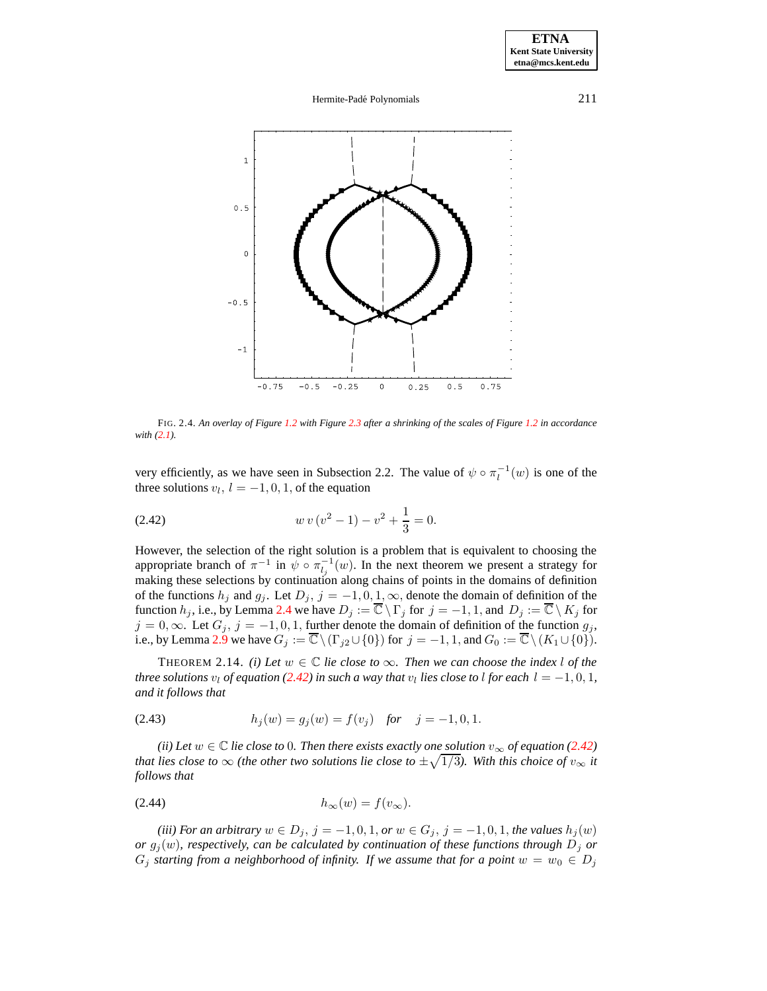### Hermite-Padé Polynomials 211



<span id="page-16-0"></span>FIG. 2.4. An overlay of Figure [1.2](#page-13-0) with Figure [2.3](#page-15-0) after a shrinking of the scales of Figure 1.2 in accordance *with [\(2.1\)](#page-7-5).*

<span id="page-16-1"></span>very efficiently, as we have seen in Subsection 2.2. The value of  $\psi \circ \pi_l^{-1}(w)$  is one of the three solutions  $v_l$ ,  $l = -1, 0, 1$ , of the equation

(2.42) 
$$
w v (v^2 - 1) - v^2 + \frac{1}{3} = 0.
$$

However, the selection of the right solution is a problem that is equivalent to choosing the appropriate branch of  $\pi^{-1}$  in  $\psi \circ \pi_{l_j}^{-1}(w)$ . In the next theorem we present a strategy for making these selections by continuation along chains of points in the domains of definition of the functions  $h_j$  and  $g_j$ . Let  $D_j$ ,  $j = -1, 0, 1, \infty$ , denote the domain of definition of the function  $h_j$ , i.e., by Lemma [2.4](#page-10-0) we have  $D_j := \overline{\mathbb{C}} \setminus \Gamma_j$  for  $j = -1, 1$ , and  $D_j := \overline{\mathbb{C}} \setminus K_j$  for  $j = 0, \infty$ . Let  $G_j$ ,  $j = -1, 0, 1$ , further denote the domain of definition of the function  $g_j$ , i.e., by Lemma [2.9](#page-13-1) we have  $G_j := \overline{\mathbb{C}} \setminus (\Gamma_{j2} \cup \{0\})$  for  $j = -1, 1$ , and  $G_0 := \overline{\mathbb{C}} \setminus (K_1 \cup \{0\})$ .

<span id="page-16-2"></span>THEOREM 2.14. *(i)* Let  $w \in \mathbb{C}$  lie close to  $\infty$ . Then we can choose the index l of the *three* solutions  $v_l$  *of equation* [\(2.42\)](#page-16-1) *in such a way that*  $v_l$  *lies close to l for each*  $l = -1, 0, 1$ *, and it follows that*

(2.43) 
$$
h_j(w) = g_j(w) = f(v_j) \text{ for } j = -1, 0, 1.
$$

*(ii)* Let  $w \in \mathbb{C}$  *lie close to* 0*. Then there exists exactly one solution*  $v_{\infty}$  *of equation* [\(2.42\)](#page-16-1) *that lies close to*  $\infty$  *(the other two solutions lie close to*  $\pm\sqrt{1/3}$ *). With this choice of*  $v_{\infty}$  *it follows that*

$$
(2.44) \t\t\t\t h_{\infty}(w) = f(v_{\infty}).
$$

*(iii) For an arbitrary*  $w \in D_j$ ,  $j = -1, 0, 1$ , *or*  $w \in G_j$ ,  $j = -1, 0, 1$ , *the values*  $h_j(w)$ *or*  $g_i(w)$ , *respectively, can be calculated by continuation of these functions through*  $D_i$  *or* G<sub>j</sub> starting from a neighborhood of infinity. If we assume that for a point  $w = w_0 \in D_i$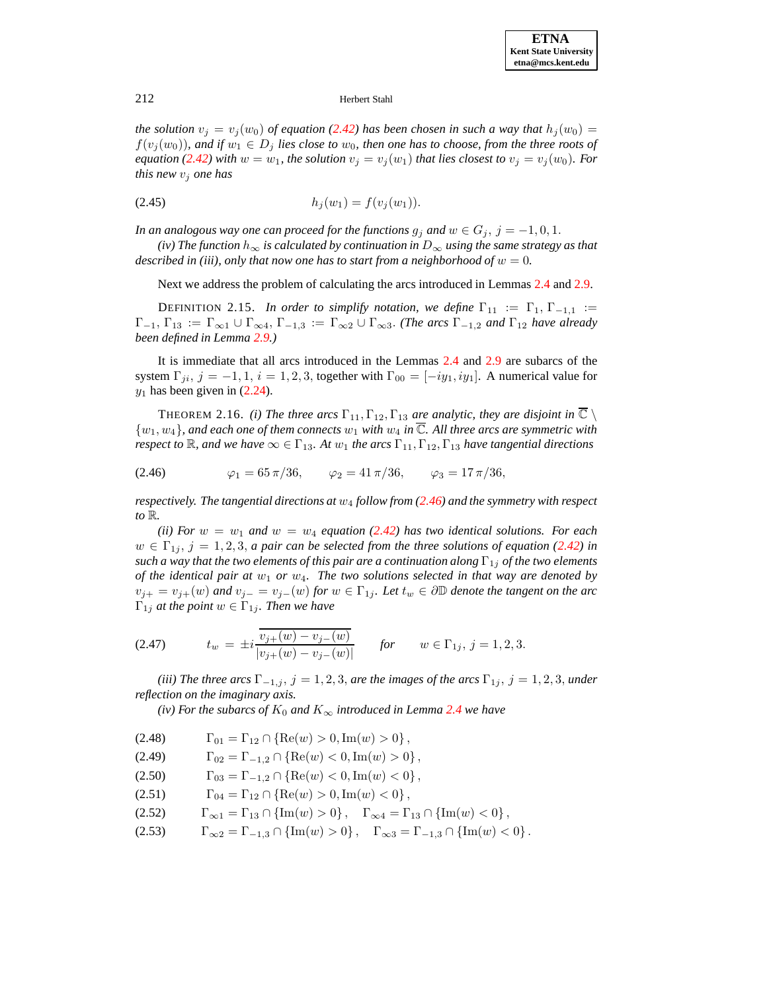*the solution*  $v_j = v_j(w_0)$  *of equation* [\(2.42\)](#page-16-1) *has been chosen in such a way that*  $h_j(w_0)$  =  $f(v_j(w_0))$ , and if  $w_1 \in D_j$  lies close to  $w_0$ , then one has to choose, from the three roots of *equation* [\(2.42\)](#page-16-1) with  $w = w_1$ , the solution  $v_j = v_j(w_1)$  that lies closest to  $v_j = v_j(w_0)$ *. For this new*  $v_i$  *one has* 

$$
(2.45) \t\t\t\t h_j(w_1) = f(v_j(w_1)).
$$

*In an analogous way one can proceed for the functions*  $g_j$  *and*  $w \in G_j$ ,  $j = -1, 0, 1$ .

*(iv) The function*  $h_{\infty}$  *is calculated by continuation in*  $D_{\infty}$  *using the same strategy as that described in* (*iii*), *only that now one has to start from a neighborhood of*  $w = 0$ .

Next we address the problem of calculating the arcs introduced in Lemmas [2.4](#page-10-0) and [2.9.](#page-13-1)

DEFINITION 2.15. *In order to simplify notation, we define*  $\Gamma_{11} := \Gamma_1, \Gamma_{-1,1} :=$  $\Gamma_{-1}$ ,  $\Gamma_{13} := \Gamma_{\infty 1} \cup \Gamma_{\infty 4}$ ,  $\Gamma_{-1,3} := \Gamma_{\infty 2} \cup \Gamma_{\infty 3}$ . *(The arcs*  $\Gamma_{-1,2}$  *and*  $\Gamma_{12}$  *have already been defined in Lemma [2.9.](#page-13-1))*

It is immediate that all arcs introduced in the Lemmas [2.4](#page-10-0) and [2.9](#page-13-1) are subarcs of the system  $\Gamma_{ji}$ ,  $j = -1, 1$ ,  $i = 1, 2, 3$ , together with  $\Gamma_{00} = [-iy_1, iy_1]$ . A numerical value for  $y_1$  has been given in [\(2.24\)](#page-10-1).

<span id="page-17-1"></span><span id="page-17-0"></span>**THEOREM** 2.16. *(i) The three arcs*  $\Gamma_{11}$ ,  $\Gamma_{12}$ ,  $\Gamma_{13}$  *are analytic, they are disjoint in*  $\overline{\mathbb{C}} \setminus$  $\{w_1, w_4\}$ , and each one of them connects  $w_1$  with  $w_4$  in  $\overline{\mathbb{C}}$ . All three arcs are symmetric with *respect to*  $\mathbb{R}$ *, and we have*  $\infty \in \Gamma_{13}$ *. At*  $w_1$  *the arcs*  $\Gamma_{11}$ ,  $\Gamma_{12}$ ,  $\Gamma_{13}$  *have tangential directions* 

(2.46) 
$$
\varphi_1 = 65 \pi / 36, \qquad \varphi_2 = 41 \pi / 36, \qquad \varphi_3 = 17 \pi / 36,
$$

*respectively. The tangential directions at* w<sup>4</sup> *follow from [\(2.46\)](#page-17-1) and the symmetry with respect to* R*.*

*(ii)* For  $w = w_1$  and  $w = w_4$  *equation* [\(2.42\)](#page-16-1) has two identical solutions. For each  $w \in \Gamma_{1i}, j = 1, 2, 3, a$  *pair* can be selected from the three solutions of equation [\(2.42\)](#page-16-1) in *such a way that the two elements of this pair are a continuation along*  $\Gamma_{1j}$  *of the two elements of the identical pair at* w<sup>1</sup> *or* w4*. The two solutions selected in that way are denoted by*  $v_{j+} = v_{j+}(w)$  *and*  $v_{j−} = v_{j−}(w)$  *for*  $w ∈ Γ_{1j}$ *. Let*  $t_w ∈ ∂ℤ$  *denote the tangent on the arc*  $\Gamma_{1j}$  *at the point*  $w \in \Gamma_{1j}$ *. Then we have* 

<span id="page-17-2"></span>(2.47) 
$$
t_w = \pm i \frac{\overline{v_{j+}(w) - v_{j-}(w)}}{|v_{j+}(w) - v_{j-}(w)|} \quad \text{for} \quad w \in \Gamma_{1j}, \, j = 1, 2, 3.
$$

*(iii) The three arcs*  $\Gamma_{-1,j}$ ,  $j = 1, 2, 3$ , *are the images of the arcs*  $\Gamma_{1j}$ ,  $j = 1, 2, 3$ , *under reflection on the imaginary axis.*

*(iv) For the subarcs of*  $K_0$  *and*  $K_{\infty}$  *introduced in Lemma* [2.4](#page-10-0) *we have* 

$$
(2.48) \t\Gamma_{01} = \Gamma_{12} \cap \{ \text{Re}(w) > 0, \text{Im}(w) > 0 \},
$$

$$
(2.49) \t\Gamma_{02} = \Gamma_{-1,2} \cap \{ \text{Re}(w) < 0, \text{Im}(w) > 0 \},
$$

- (2.50)  $\Gamma_{03} = \Gamma_{-1,2} \cap \{ \text{Re}(w) < 0, \text{Im}(w) < 0 \},$
- (2.51)  $\Gamma_{04} = \Gamma_{12} \cap \{ \text{Re}(w) > 0, \text{Im}(w) < 0 \},$

$$
(2.52) \qquad \Gamma_{\infty 1} = \Gamma_{13} \cap \{ \text{Im}(w) > 0 \}, \quad \Gamma_{\infty 4} = \Gamma_{13} \cap \{ \text{Im}(w) < 0 \},
$$

(2.53)  $\Gamma_{\infty 2} = \Gamma_{-1,3} \cap {\rm Im}(w) > 0$ ,  $\Gamma_{\infty 3} = \Gamma_{-1,3} \cap {\rm Im}(w) < 0$ .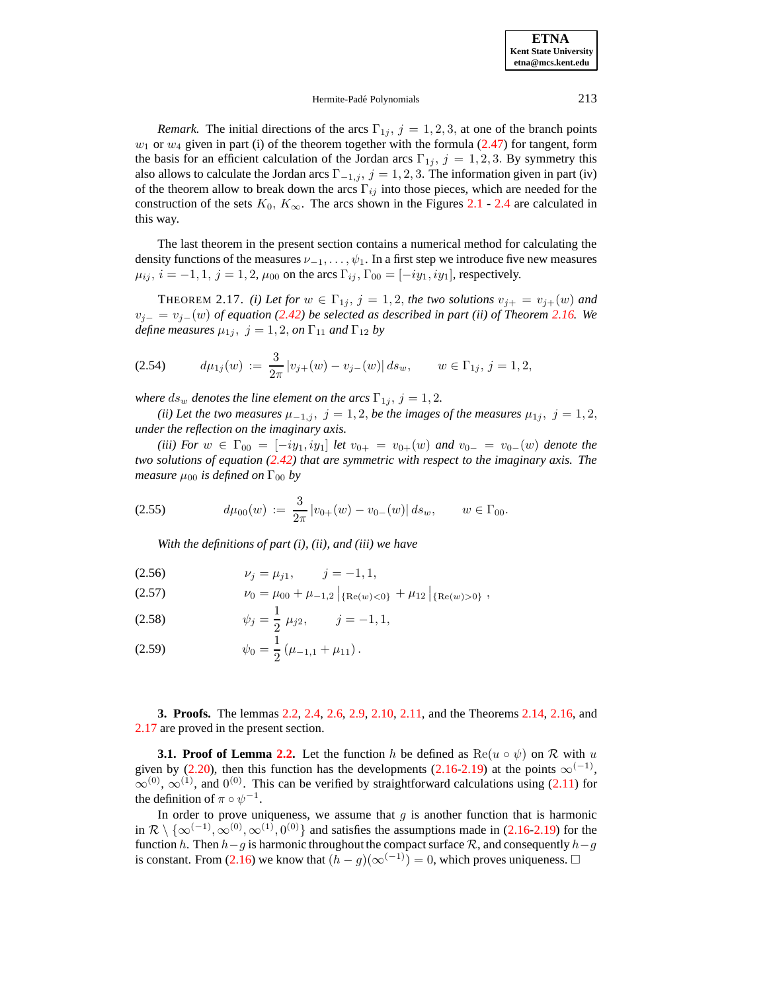### Hermite-Padé Polynomials 213

*Remark.* The initial directions of the arcs  $\Gamma_{1j}$ ,  $j = 1, 2, 3$ , at one of the branch points  $w_1$  or  $w_4$  given in part (i) of the theorem together with the formula [\(2.47\)](#page-17-2) for tangent, form the basis for an efficient calculation of the Jordan arcs  $\Gamma_{1j}$ ,  $j = 1, 2, 3$ . By symmetry this also allows to calculate the Jordan arcs  $\Gamma_{-1,j}$ ,  $j = 1, 2, 3$ . The information given in part (iv) of the theorem allow to break down the arcs  $\Gamma_{ij}$  into those pieces, which are needed for the construction of the sets  $K_0$ ,  $K_{\infty}$ . The arcs shown in the Figures [2.1](#page-20-0) - [2.4](#page-16-0) are calculated in this way.

The last theorem in the present section contains a numerical method for calculating the density functions of the measures  $\nu_{-1}, \ldots, \psi_1$ . In a first step we introduce five new measures  $\mu_{ij}$ ,  $i = -1, 1, j = 1, 2, \mu_{00}$  on the arcs  $\Gamma_{ij}$ ,  $\Gamma_{00} = [-iy_1, iy_1]$ , respectively.

<span id="page-18-0"></span>THEOREM 2.17. *(i)* Let for  $w \in \Gamma_{1j}$ ,  $j = 1, 2$ , the two solutions  $v_{j+} = v_{j+}(w)$  and vj<sup>−</sup> = vj−(w) *of equation [\(2.42\)](#page-16-1) be selected as described in part (ii) of Theorem [2.16.](#page-17-0) We define measures*  $\mu_{1j}$ ,  $j = 1, 2, on \Gamma_{11}$  *and*  $\Gamma_{12}$  *by* 

$$
(2.54) \t d\mu_{1j}(w) := \frac{3}{2\pi} |v_{j+}(w) - v_{j-}(w)| ds_w, \t w \in \Gamma_{1j}, j = 1, 2,
$$

*where*  $ds_w$  *denotes the line element on the arcs*  $\Gamma_{1j}$ ,  $j = 1, 2$ *.* 

*(ii)* Let the two measures  $\mu_{-1,j}$ ,  $j = 1, 2$ , be the images of the measures  $\mu_{1j}$ ,  $j = 1, 2$ , *under the reflection on the imaginary axis.*

*(iii) For*  $w \text{ } \in \text{ } \Gamma_{00} = [-iy_1, iy_1]$  *let*  $v_{0+} = v_{0+}(w)$  *and*  $v_{0-} = v_{0-}(w)$  *denote the two solutions of equation [\(2.42\)](#page-16-1) that are symmetric with respect to the imaginary axis. The measure*  $\mu_{00}$  *is defined on*  $\Gamma_{00}$  *by* 

$$
(2.55) \t d\mu_{00}(w) := \frac{3}{2\pi} |v_{0+}(w) - v_{0-}(w)| ds_w, \t w \in \Gamma_{00}.
$$

*With the definitions of part (i), (ii), and (iii) we have*

<span id="page-18-1"></span>
$$
(2.56) \t\t\t \nu_j = \mu_{j1}, \t j = -1, 1,
$$

(2.57) 
$$
\nu_0 = \mu_{00} + \mu_{-1,2} |_{\{\text{Re}(w) < 0\}} + \mu_{12} |_{\{\text{Re}(w) > 0\}},
$$

<span id="page-18-2"></span>(2.58) 
$$
\psi_j = \frac{1}{2} \mu_{j2}, \qquad j = -1, 1,
$$

(2.59) 
$$
\psi_0 = \frac{1}{2} \left( \mu_{-1,1} + \mu_{11} \right).
$$

**3. Proofs.** The lemmas [2.2,](#page-9-7) [2.4,](#page-10-0) [2.6,](#page-12-0) [2.9,](#page-13-1) [2.10,](#page-14-2) [2.11,](#page-14-0) and the Theorems [2.14,](#page-16-2) [2.16,](#page-17-0) and [2.17](#page-18-0) are proved in the present section.

**3.1. Proof** of Lemma [2.2.](#page-9-7) Let the function h be defined as  $\text{Re}(u \circ \psi)$  on R with u given by [\(2.20\)](#page-9-6), then this function has the developments [\(2.16-](#page-9-2)[2.19\)](#page-9-5) at the points  $\infty$ <sup>(-1)</sup>,  $\infty^{(0)}$ ,  $\infty^{(1)}$ , and  $0^{(0)}$ . This can be verified by straightforward calculations using [\(2.11\)](#page-8-2) for the definition of  $\pi \circ \psi^{-1}$ .

In order to prove uniqueness, we assume that  $g$  is another function that is harmonic in  $\mathcal{R} \setminus \{ \infty^{(-1)}, \infty^{(0)}, \infty^{(1)}, 0^{(0)} \}$  and satisfies the assumptions made in [\(2.16](#page-9-2)[-2.19\)](#page-9-5) for the function h. Then  $h-g$  is harmonic throughout the compact surface R, and consequently  $h-g$ is constant. From [\(2.16\)](#page-9-2) we know that  $(h - g)(∞^{(-1)}) = 0$ , which proves uniqueness.  $□$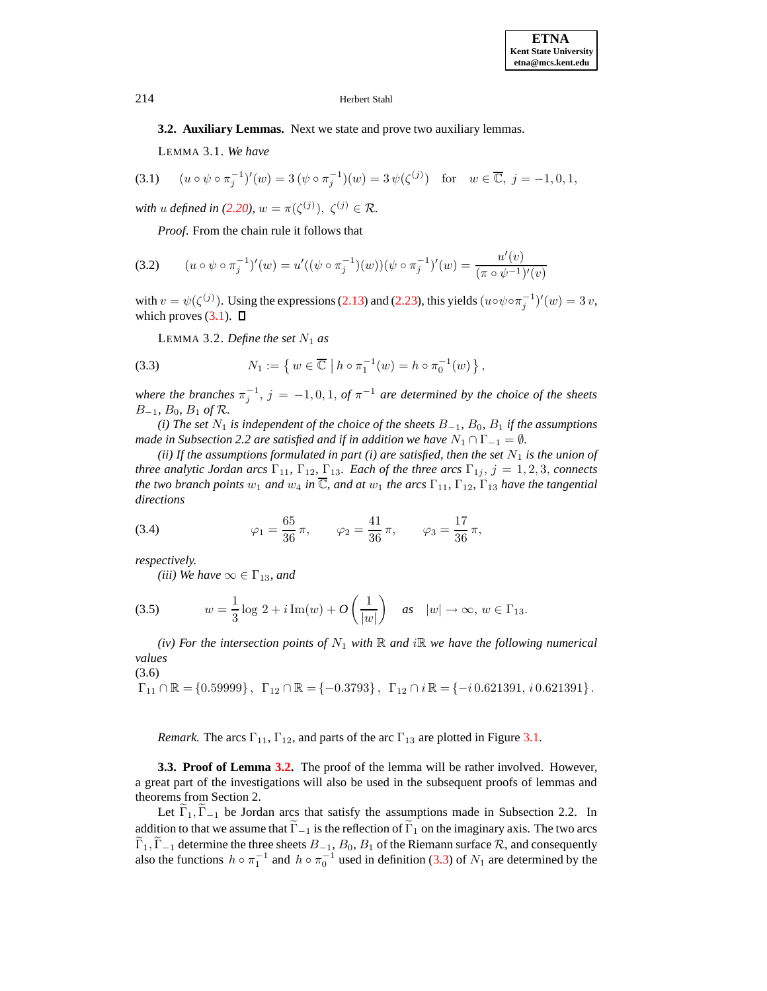<span id="page-19-0"></span>**3.2. Auxiliary Lemmas.** Next we state and prove two auxiliary lemmas.

LEMMA 3.1. *We have*

$$
(3.1) \quad (u \circ \psi \circ \pi_j^{-1})'(w) = 3(\psi \circ \pi_j^{-1})(w) = 3\psi(\zeta^{(j)}) \quad \text{for} \quad w \in \overline{\mathbb{C}}, \ j = -1, 0, 1,
$$

*with u defined in* [\(2.20\)](#page-9-6),  $w = \pi(\zeta^{(j)}), \ \zeta^{(j)} \in \mathcal{R}$ .

*Proof*. From the chain rule it follows that

(3.2) 
$$
(u \circ \psi \circ \pi_j^{-1})'(w) = u'((\psi \circ \pi_j^{-1})(w))(\psi \circ \pi_j^{-1})'(w) = \frac{u'(v)}{(\pi \circ \psi^{-1})'(v)}
$$

<span id="page-19-1"></span>with  $v = \psi(\zeta^{(j)})$ . Using the expressions [\(2.13\)](#page-8-3) and [\(2.23\)](#page-10-2), this yields  $(u \circ \psi \circ \pi_j^{-1})'(w) = 3 v$ , which proves  $(3.1)$ .  $\Box$ 

<span id="page-19-2"></span>LEMMA 3.2. *Define the set*  $N_1$  *as* 

(3.3) 
$$
N_1 := \left\{ w \in \overline{\mathbb{C}} \mid h \circ \pi_1^{-1}(w) = h \circ \pi_0^{-1}(w) \right\},
$$

*where the branches*  $\pi_j^{-1}$ ,  $j = -1, 0, 1$ , *of*  $\pi^{-1}$  *are determined by the choice of the sheets* B−<sup>1</sup>*,* B0*,* B<sup>1</sup> *of* R*.*

 $(i)$  *The set*  $N_1$  *is independent of the choice of the sheets*  $B_{-1}$ *,*  $B_0$ *,*  $B_1$  *if the assumptions made in Subsection* 2.2 *are satisfied and if in addition we have*  $N_1 \cap \Gamma_{-1} = \emptyset$ *.* 

<span id="page-19-4"></span>*(ii)* If the assumptions formulated in part *(i)* are satisfied, then the set  $N_1$  is the union of *three analytic Jordan arcs*  $\Gamma_{11}$ ,  $\Gamma_{12}$ ,  $\Gamma_{13}$ *. Each of the three arcs*  $\Gamma_{1j}$ *, j* = 1, 2, 3, *connects the two branch points*  $w_1$  *and*  $w_4$  *in*  $\overline{\mathbb{C}}$ *, and at*  $w_1$  *the arcs*  $\Gamma_{11}$ *,*  $\Gamma_{12}$ *,*  $\Gamma_{13}$  *have the tangential directions*

(3.4) 
$$
\varphi_1 = \frac{65}{36}\pi
$$
,  $\varphi_2 = \frac{41}{36}\pi$ ,  $\varphi_3 = \frac{17}{36}\pi$ ,

*respectively.*

<span id="page-19-6"></span>*(iii) We have*  $\infty \in \Gamma_{13}$ *, and* 

(3.5) 
$$
w = \frac{1}{3}\log 2 + i \operatorname{Im}(w) + O\left(\frac{1}{|w|}\right) \quad \text{as} \quad |w| \to \infty, \, w \in \Gamma_{13}.
$$

<span id="page-19-5"></span>*(iv)* For the intersection points of  $N_1$  with  $\mathbb R$  and i $\mathbb R$  we have the following numerical *values*

(3.6)

 $\Gamma_{11} \cap \mathbb{R} = \{0.59999\}, \quad \Gamma_{12} \cap \mathbb{R} = \{-0.3793\}, \quad \Gamma_{12} \cap i \mathbb{R} = \{-i\,0.621391, i\,0.621391\}.$ 

*Remark.* The arcs  $\Gamma_{11}$ ,  $\Gamma_{12}$ , and parts of the arc  $\Gamma_{13}$  are plotted in Figure [3.1.](#page-20-0)

**3.3. Proof of Lemma [3.2.](#page-19-1)** The proof of the lemma will be rather involved. However, a great part of the investigations will also be used in the subsequent proofs of lemmas and theorems from Section 2.

Let  $\Gamma_1, \Gamma_{-1}$  be Jordan arcs that satisfy the assumptions made in Subsection 2.2. In addition to that we assume that  $\tilde{\Gamma}_{-1}$  is the reflection of  $\tilde{\Gamma}_1$  on the imaginary axis. The two arcs  $\tilde{\Gamma}_1, \tilde{\Gamma}_{-1}$  determine the three sheets  $B_{-1}, B_0, B_1$  of the Riemann surface  $\mathcal{R}$ , and consequently also the functions  $h \circ \pi_1^{-1}$  and  $h \circ \pi_0^{-1}$  used in definition [\(3.3\)](#page-19-2) of  $N_1$  are determined by the

<span id="page-19-3"></span>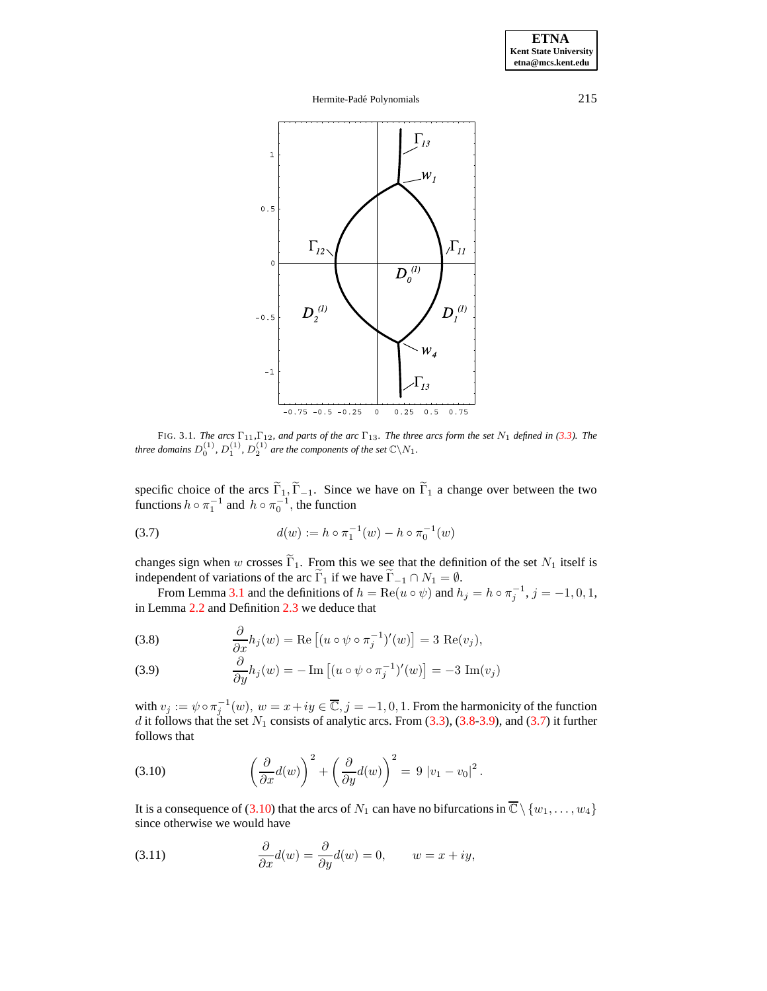# Hermite-Padé Polynomials 215



<span id="page-20-0"></span>FIG. 3.1. The arcs  $\Gamma_{11}$ ,  $\Gamma_{12}$ , and parts of the arc  $\Gamma_{13}$ . The three arcs form the set  $N_1$  defined in [\(3.3\)](#page-19-2). The *three domains*  $D_0^{(1)}$ ,  $D_1^{(1)}$ ,  $D_2^{(1)}$  are the components of the set  $\mathbb{C}\setminus N_1$ .

<span id="page-20-3"></span>specific choice of the arcs  $\Gamma_1$ ,  $\Gamma_{-1}$ . Since we have on  $\Gamma_1$  a change over between the two functions  $h \circ \pi_1^{-1}$  and  $h \circ \pi_0^{-1}$ , the function

(3.7) 
$$
d(w) := h \circ \pi_1^{-1}(w) - h \circ \pi_0^{-1}(w)
$$

changes sign when w crosses  $\widetilde{\Gamma}_1$ . From this we see that the definition of the set  $N_1$  itself is independent of variations of the arc  $\widetilde{\Gamma}_1$  if we have  $\widetilde{\Gamma}_{-1} \cap N_1 = \emptyset$ .

From Lemma [3.1](#page-19-3) and the definitions of  $h = \text{Re}(u \circ \psi)$  and  $h_j = h \circ \pi_j^{-1}$ ,  $j = -1, 0, 1$ , in Lemma [2.2](#page-9-7) and Definition [2.3](#page-9-8) we deduce that

<span id="page-20-2"></span><span id="page-20-1"></span>(3.8) 
$$
\frac{\partial}{\partial x} h_j(w) = \text{Re} \left[ (u \circ \psi \circ \pi_j^{-1})'(w) \right] = 3 \text{ Re}(v_j),
$$

(3.9) 
$$
\frac{\partial}{\partial y} h_j(w) = -\operatorname{Im} \left[ (u \circ \psi \circ \pi_j^{-1})'(w) \right] = -3 \operatorname{Im}(v_j)
$$

<span id="page-20-4"></span>with  $v_j := \psi \circ \pi_j^{-1}(w)$ ,  $w = x + iy \in \overline{\mathbb{C}}, j = -1, 0, 1$ . From the harmonicity of the function d it follows that the set  $N_1$  consists of analytic arcs. From  $(3.3)$ ,  $(3.8-3.9)$  $(3.8-3.9)$ , and  $(3.7)$  it further follows that

(3.10) 
$$
\left(\frac{\partial}{\partial x}d(w)\right)^2 + \left(\frac{\partial}{\partial y}d(w)\right)^2 = 9 |v_1 - v_0|^2.
$$

It is a consequence of [\(3.10\)](#page-20-4) that the arcs of  $N_1$  can have no bifurcations in  $\overline{\mathbb{C}} \setminus \{w_1, \ldots, w_4\}$ since otherwise we would have

(3.11) 
$$
\frac{\partial}{\partial x}d(w) = \frac{\partial}{\partial y}d(w) = 0, \qquad w = x + iy,
$$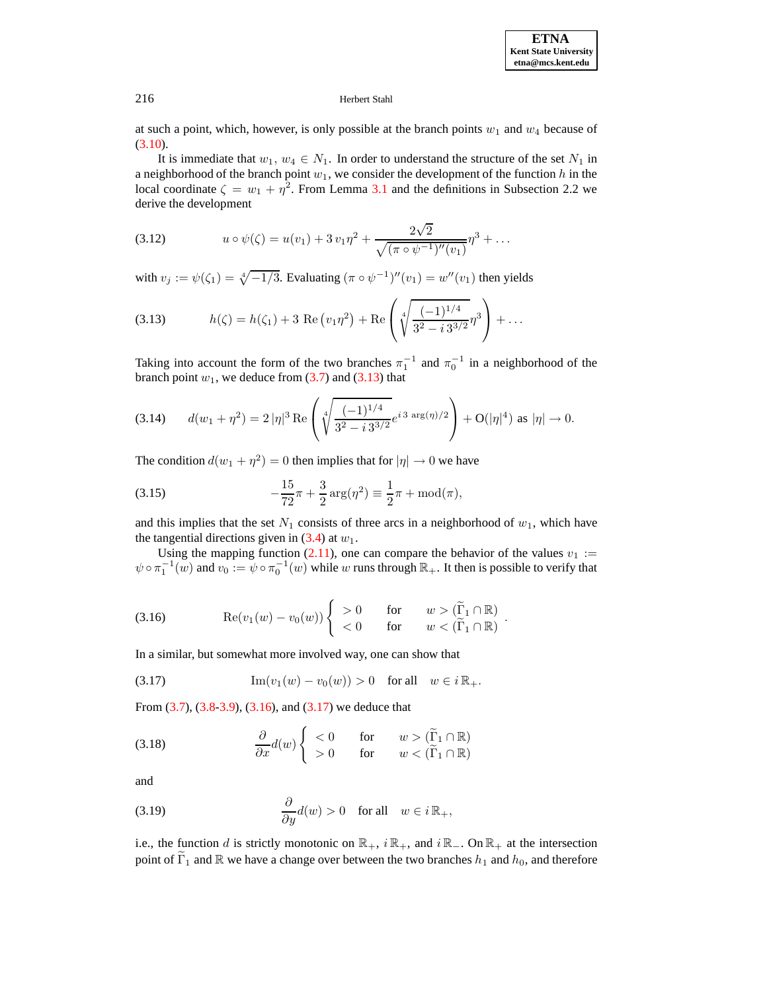at such a point, which, however, is only possible at the branch points  $w_1$  and  $w_4$  because of  $(3.10).$  $(3.10).$ 

It is immediate that  $w_1, w_4 \in N_1$ . In order to understand the structure of the set  $N_1$  in a neighborhood of the branch point  $w_1$ , we consider the development of the function h in the local coordinate  $\zeta = w_1 + \eta^2$ . From Lemma [3.1](#page-19-3) and the definitions in Subsection 2.2 we derive the development

(3.12) 
$$
u \circ \psi(\zeta) = u(v_1) + 3v_1\eta^2 + \frac{2\sqrt{2}}{\sqrt{(\pi \circ \psi^{-1})''(v_1)}}\eta^3 + \dots
$$

<span id="page-21-0"></span>with  $v_j := \psi(\zeta_1) = \sqrt[4]{-1/3}$ . Evaluating  $(\pi \circ \psi^{-1})''(v_1) = w''(v_1)$  then yields

(3.13) 
$$
h(\zeta) = h(\zeta_1) + 3 \operatorname{Re} (v_1 \eta^2) + \operatorname{Re} \left( \sqrt[4]{\frac{(-1)^{1/4}}{3^2 - i 3^{3/2}}} \eta^3 \right) + \dots
$$

Taking into account the form of the two branches  $\pi_1^{-1}$  and  $\pi_0^{-1}$  in a neighborhood of the branch point  $w_1$ , we deduce from [\(3.7\)](#page-20-3) and [\(3.13\)](#page-21-0) that

$$
(3.14) \qquad d(w_1 + \eta^2) = 2 |\eta|^3 \operatorname{Re} \left( \sqrt[4]{\frac{(-1)^{1/4}}{3^2 - i 3^{3/2}}} e^{i 3 \operatorname{arg}(\eta)/2} \right) + O(|\eta|^4) \text{ as } |\eta| \to 0.
$$

<span id="page-21-5"></span>The condition  $d(w_1 + \eta^2) = 0$  then implies that for  $|\eta| \to 0$  we have

(3.15) 
$$
-\frac{15}{72}\pi + \frac{3}{2}\arg(\eta^2) \equiv \frac{1}{2}\pi + \text{mod}(\pi),
$$

and this implies that the set  $N_1$  consists of three arcs in a neighborhood of  $w_1$ , which have the tangential directions given in  $(3.4)$  at  $w_1$ .

<span id="page-21-1"></span>Using the mapping function [\(2.11\)](#page-8-2), one can compare the behavior of the values  $v_1 :=$  $\psi \circ \pi_1^{-1}(w)$  and  $v_0 := \psi \circ \pi_0^{-1}(w)$  while w runs through  $\mathbb{R}_+$ . It then is possible to verify that

(3.16) 
$$
\operatorname{Re}(v_1(w) - v_0(w)) \begin{cases} > 0 & \text{for} \quad w > (\widetilde{\Gamma}_1 \cap \mathbb{R}) \\ < 0 & \text{for} \quad w < (\widetilde{\Gamma}_1 \cap \mathbb{R}) \end{cases}.
$$

<span id="page-21-2"></span>In a similar, but somewhat more involved way, one can show that

<span id="page-21-3"></span>(3.17) 
$$
\text{Im}(v_1(w) - v_0(w)) > 0 \text{ for all } w \in i\mathbb{R}_+.
$$

From [\(3.7\)](#page-20-3), [\(3.8](#page-20-1)[-3.9\)](#page-20-2), [\(3.16\)](#page-21-1), and [\(3.17\)](#page-21-2) we deduce that

(3.18) 
$$
\frac{\partial}{\partial x}d(w)\begin{cases}\n< 0 & \text{for } w > (\widetilde{\Gamma}_1 \cap \mathbb{R}) \\
> 0 & \text{for } w < (\widetilde{\Gamma}_1 \cap \mathbb{R})\n\end{cases}
$$

<span id="page-21-4"></span>and

(3.19) 
$$
\frac{\partial}{\partial y}d(w) > 0 \text{ for all } w \in i\mathbb{R}_+,
$$

i.e., the function d is strictly monotonic on  $\mathbb{R}_+$ ,  $i \mathbb{R}_+$ , and  $i \mathbb{R}_-$ . On  $\mathbb{R}_+$  at the intersection point of  $\tilde{\Gamma}_1$  and  $\mathbb R$  we have a change over between the two branches  $h_1$  and  $h_0$ , and therefore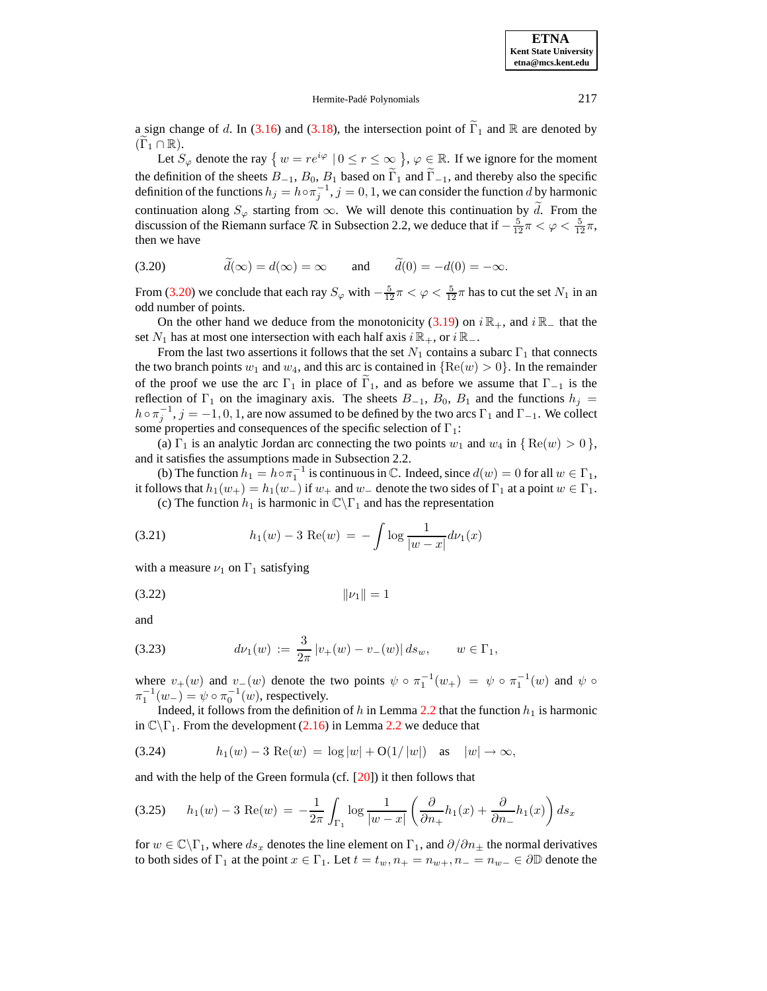# Hermite-Padé Polynomials 217

a sign change of d. In [\(3.16\)](#page-21-1) and [\(3.18\)](#page-21-3), the intersection point of  $\Gamma_1$  and R are denoted by  $(\Gamma_1 \cap \mathbb{R}).$ 

Let  $S_{\varphi}$  denote the ray  $\{w = re^{i\varphi} \mid 0 \le r \le \infty\}$ ,  $\varphi \in \mathbb{R}$ . If we ignore for the moment the definition of the sheets  $B_{-1}$ ,  $B_0$ ,  $B_1$  based on  $\Gamma_1$  and  $\Gamma_{-1}$ , and thereby also the specific definition of the functions  $h_j = h \circ \pi_j^{-1}$ ,  $j = 0, 1$ , we can consider the function d by harmonic continuation along  $S_{\varphi}$  starting from  $\infty$ . We will denote this continuation by d. From the discussion of the Riemann surface  $R$  in Subsection 2.2, we deduce that if  $-\frac{5}{12}\pi < \varphi < \frac{5}{12}\pi$ , then we have

<span id="page-22-0"></span>(3.20) 
$$
\tilde{d}(\infty) = d(\infty) = \infty \quad \text{and} \quad \tilde{d}(0) = -d(0) = -\infty.
$$

From [\(3.20\)](#page-22-0) we conclude that each ray  $S_{\varphi}$  with  $-\frac{5}{12}\pi < \varphi < \frac{5}{12}\pi$  has to cut the set  $N_1$  in an odd number of points.

On the other hand we deduce from the monotonicity [\(3.19\)](#page-21-4) on  $i \mathbb{R}_+$ , and  $i \mathbb{R}_-$  that the set  $N_1$  has at most one intersection with each half axis  $i \mathbb{R}_+$ , or  $i \mathbb{R}_-$ .

From the last two assertions it follows that the set  $N_1$  contains a subarc  $\Gamma_1$  that connects the two branch points  $w_1$  and  $w_4$ , and this arc is contained in  ${Re(w) > 0}$ . In the remainder of the proof we use the arc  $\Gamma_1$  in place of  $\Gamma_1$ , and as before we assume that  $\Gamma_{-1}$  is the reflection of  $\Gamma_1$  on the imaginary axis. The sheets  $B_{-1}$ ,  $B_0$ ,  $B_1$  and the functions  $h_j$  $h \circ \pi_j^{-1}$ ,  $j = -1, 0, 1$ , are now assumed to be defined by the two arcs  $\Gamma_1$  and  $\Gamma_{-1}$ . We collect some properties and consequences of the specific selection of  $\Gamma_1$ :

(a)  $\Gamma_1$  is an analytic Jordan arc connecting the two points  $w_1$  and  $w_4$  in  $\{ \text{Re}(w) > 0 \}$ , and it satisfies the assumptions made in Subsection 2.2.

(b) The function  $h_1 = h \circ \pi_1^{-1}$  is continuous in  $\mathbb C$ . Indeed, since  $d(w) = 0$  for all  $w \in \Gamma_1$ , it follows that  $h_1(w_+) = h_1(w_-)$  if  $w_+$  and  $w_-$  denote the two sides of  $\Gamma_1$  at a point  $w \in \Gamma_1$ .

<span id="page-22-4"></span><span id="page-22-3"></span>(c) The function  $h_1$  is harmonic in  $\mathbb{C}\backslash\Gamma_1$  and has the representation

(3.21) 
$$
h_1(w) - 3 \operatorname{Re}(w) = - \int \log \frac{1}{|w - x|} d\nu_1(x)
$$

with a measure  $\nu_1$  on  $\Gamma_1$  satisfying

<span id="page-22-2"></span>(3.22) kν1k = 1

and

(3.23) 
$$
d\nu_1(w) := \frac{3}{2\pi} |v_+(w) - v_-(w)| ds_w, \qquad w \in \Gamma_1,
$$

where  $v_+(w)$  and  $v_-(w)$  denote the two points  $\psi \circ \pi_1^{-1}(w_+) = \psi \circ \pi_1^{-1}(w)$  and  $\psi \circ \pi_1^{-1}(w)$  $\pi_1^{-1}(w_-) = \psi \circ \pi_0^{-1}(w)$ , respectively.

<span id="page-22-1"></span>Indeed, it follows from the definition of h in Lemma [2.2](#page-9-7) that the function  $h_1$  is harmonic in  $\mathbb{C}\backslash\Gamma_1$ . From the development [\(2.16\)](#page-9-2) in Lemma [2.2](#page-9-7) we deduce that

(3.24) 
$$
h_1(w) - 3 \text{ Re}(w) = \log |w| + O(1/|w|)
$$
 as  $|w| \to \infty$ ,

and with the help of the Green formula (cf. [\[20\]](#page-27-20)) it then follows that

$$
(3.25) \qquad h_1(w) - 3 \text{ Re}(w) = -\frac{1}{2\pi} \int_{\Gamma_1} \log \frac{1}{|w - x|} \left( \frac{\partial}{\partial n_+} h_1(x) + \frac{\partial}{\partial n_-} h_1(x) \right) ds_x
$$

for  $w \in \mathbb{C}\backslash \Gamma_1$ , where  $ds_x$  denotes the line element on  $\Gamma_1$ , and  $\partial/\partial n_+$  the normal derivatives to both sides of  $\Gamma_1$  at the point  $x \in \Gamma_1$ . Let  $t = t_w, n_+ = n_{w+}, n_- = n_{w-} \in \partial \mathbb{D}$  denote the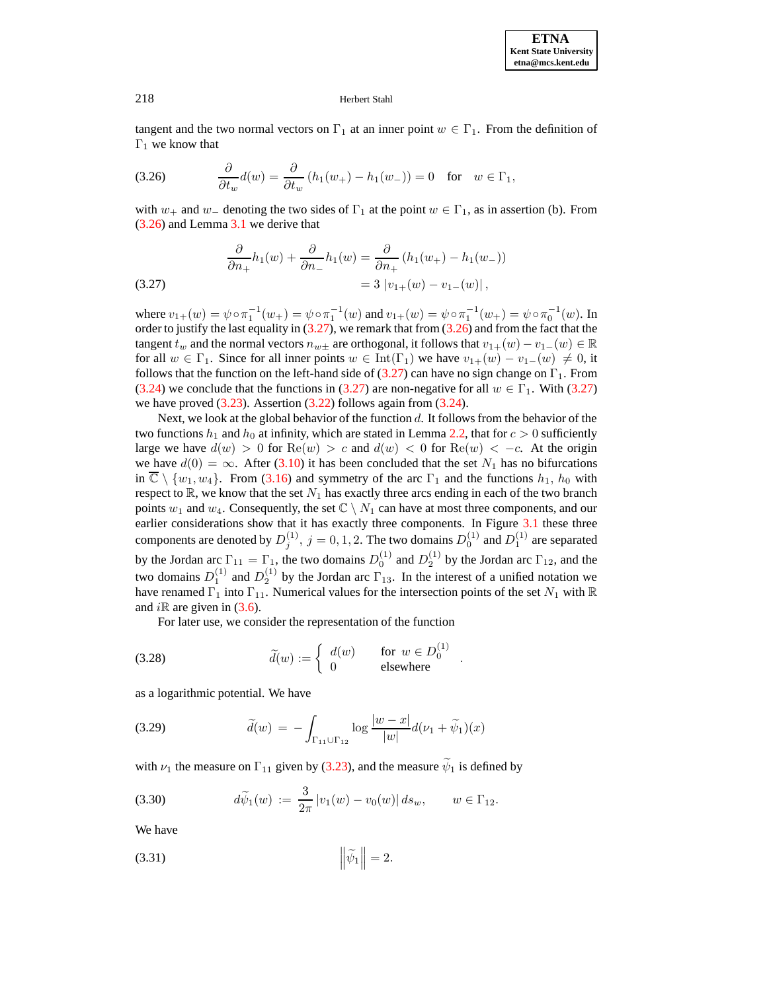<span id="page-23-0"></span>tangent and the two normal vectors on  $\Gamma_1$  at an inner point  $w \in \Gamma_1$ . From the definition of  $\Gamma_1$  we know that

(3.26) 
$$
\frac{\partial}{\partial t_w}d(w) = \frac{\partial}{\partial t_w}(h_1(w_+) - h_1(w_-)) = 0 \text{ for } w \in \Gamma_1,
$$

with  $w_+$  and  $w_-$  denoting the two sides of  $\Gamma_1$  at the point  $w \in \Gamma_1$ , as in assertion (b). From [\(3.26\)](#page-23-0) and Lemma [3.1](#page-19-3) we derive that

<span id="page-23-1"></span>(3.27) 
$$
\frac{\partial}{\partial n_+} h_1(w) + \frac{\partial}{\partial n_-} h_1(w) = \frac{\partial}{\partial n_+} (h_1(w_+) - h_1(w_-))
$$

$$
= 3 |v_{1+}(w) - v_{1-}(w)|,
$$

where  $v_{1+}(w) = \psi \circ \pi_1^{-1}(w_+) = \psi \circ \pi_1^{-1}(w)$  and  $v_{1+}(w) = \psi \circ \pi_1^{-1}(w_+) = \psi \circ \pi_0^{-1}(w)$ . In order to justify the last equality in  $(3.27)$ , we remark that from  $(3.26)$  and from the fact that the tangent  $t_w$  and the normal vectors  $n_{w\pm}$  are orthogonal, it follows that  $v_{1+}(w) - v_{1-}(w) \in \mathbb{R}$ for all  $w \in \Gamma_1$ . Since for all inner points  $w \in \text{Int}(\Gamma_1)$  we have  $v_{1+}(w) - v_{1-}(w) \neq 0$ , it follows that the function on the left-hand side of [\(3.27\)](#page-23-1) can have no sign change on  $\Gamma_1$ . From [\(3.24\)](#page-22-1) we conclude that the functions in [\(3.27\)](#page-23-1) are non-negative for all  $w \in \Gamma_1$ . With (3.27) we have proved  $(3.23)$ . Assertion  $(3.22)$  follows again from  $(3.24)$ .

Next, we look at the global behavior of the function  $d$ . It follows from the behavior of the two functions  $h_1$  and  $h_0$  at infinity, which are stated in Lemma [2.2,](#page-9-7) that for  $c > 0$  sufficiently large we have  $d(w) > 0$  for  $\text{Re}(w) > c$  and  $d(w) < 0$  for  $\text{Re}(w) < -c$ . At the origin we have  $d(0) = \infty$ . After [\(3.10\)](#page-20-4) it has been concluded that the set  $N_1$  has no bifurcations in  $\overline{\mathbb{C}} \setminus \{w_1, w_4\}$ . From [\(3.16\)](#page-21-1) and symmetry of the arc  $\Gamma_1$  and the functions  $h_1$ ,  $h_0$  with respect to  $\mathbb{R}$ , we know that the set  $N_1$  has exactly three arcs ending in each of the two branch points  $w_1$  and  $w_4$ . Consequently, the set  $\mathbb{C} \setminus N_1$  can have at most three components, and our earlier considerations show that it has exactly three components. In Figure [3.1](#page-20-0) these three components are denoted by  $D_j^{(1)}$ ,  $j = 0, 1, 2$ . The two domains  $D_0^{(1)}$  and  $D_1^{(1)}$  are separated by the Jordan arc  $\Gamma_{11} = \Gamma_{1}$ , the two domains  $D_0^{(1)}$  and  $D_2^{(1)}$  by the Jordan arc  $\Gamma_{12}$ , and the two domains  $D_1^{(1)}$  and  $D_2^{(1)}$  by the Jordan arc  $\Gamma_{13}$ . In the interest of a unified notation we have renamed  $\Gamma_1$  into  $\Gamma_{11}$ . Numerical values for the intersection points of the set  $N_1$  with  $\mathbb R$ and  $i\mathbb{R}$  are given in [\(3.6\)](#page-19-5).

<span id="page-23-2"></span>.

<span id="page-23-4"></span>For later use, we consider the representation of the function

(3.28) 
$$
\widetilde{d}(w) := \begin{cases} d(w) & \text{for } w \in D_0^{(1)} \\ 0 & \text{elsewhere} \end{cases}
$$

as a logarithmic potential. We have

(3.29) 
$$
\widetilde{d}(w) = -\int_{\Gamma_{11} \cup \Gamma_{12}} \log \frac{|w - x|}{|w|} d(\nu_1 + \widetilde{\psi}_1)(x)
$$

with  $\nu_1$  the measure on  $\Gamma_{11}$  given by [\(3.23\)](#page-22-2), and the measure  $\psi_1$  is defined by

(3.30) 
$$
d\widetilde{\psi}_1(w) := \frac{3}{2\pi} |v_1(w) - v_0(w)| ds_w, \qquad w \in \Gamma_{12}.
$$

<span id="page-23-3"></span>We have

$$
\left\|\widetilde{\psi}_1\right\|=2.
$$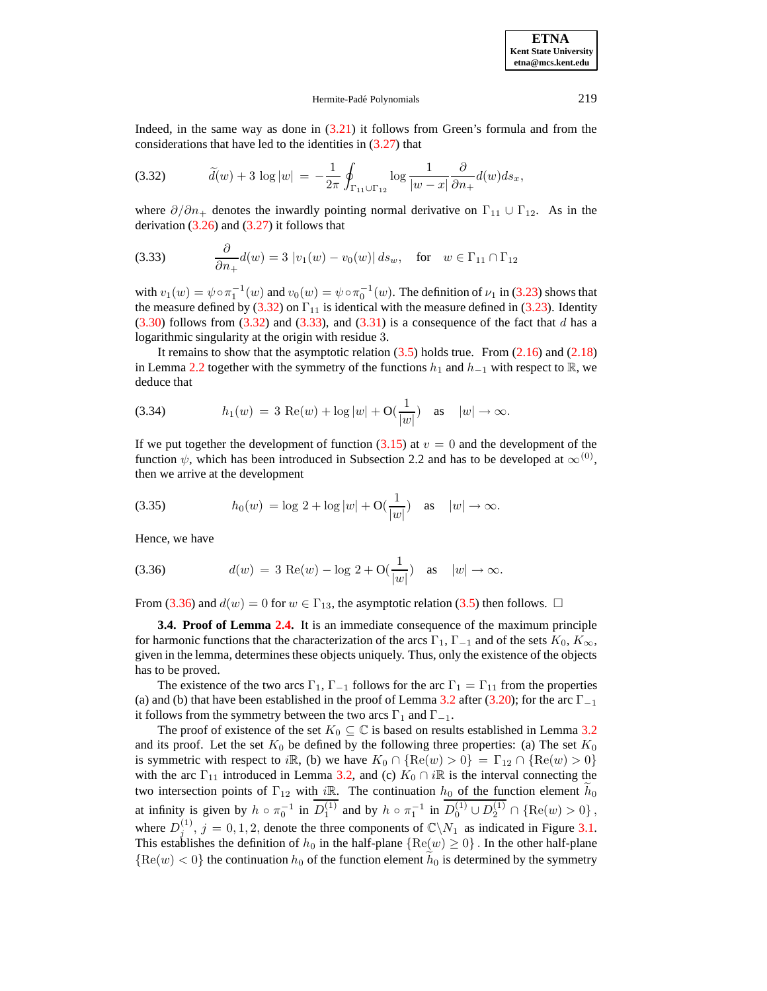#### <span id="page-24-1"></span><span id="page-24-0"></span>Hermite-Padé Polynomials 219

Indeed, in the same way as done in [\(3.21\)](#page-22-4) it follows from Green's formula and from the considerations that have led to the identities in [\(3.27\)](#page-23-1) that

(3.32) 
$$
\widetilde{d}(w) + 3 \log |w| = -\frac{1}{2\pi} \oint_{\Gamma_{11} \cup \Gamma_{12}} \log \frac{1}{|w - x|} \frac{\partial}{\partial n_+} d(w) ds_x,
$$

where  $\partial/\partial n_+$  denotes the inwardly pointing normal derivative on  $\Gamma_{11} \cup \Gamma_{12}$ . As in the derivation  $(3.26)$  and  $(3.27)$  it follows that

(3.33) 
$$
\frac{\partial}{\partial n_+} d(w) = 3 |v_1(w) - v_0(w)| ds_w, \text{ for } w \in \Gamma_{11} \cap \Gamma_{12}
$$

with  $v_1(w) = \psi \circ \pi_1^{-1}(w)$  and  $v_0(w) = \psi \circ \pi_0^{-1}(w)$ . The definition of  $\nu_1$  in [\(3.23\)](#page-22-2) shows that the measure defined by [\(3.32\)](#page-24-0) on  $\Gamma_{11}$  is identical with the measure defined in [\(3.23\)](#page-22-2). Identity  $(3.30)$  follows from  $(3.32)$  and  $(3.33)$ , and  $(3.31)$  is a consequence of the fact that d has a logarithmic singularity at the origin with residue 3.

It remains to show that the asymptotic relation  $(3.5)$  holds true. From  $(2.16)$  and  $(2.18)$ in Lemma [2.2](#page-9-7) together with the symmetry of the functions  $h_1$  and  $h_{-1}$  with respect to R, we deduce that

(3.34) 
$$
h_1(w) = 3 \text{ Re}(w) + \log |w| + O(\frac{1}{|w|}) \text{ as } |w| \to \infty.
$$

<span id="page-24-3"></span>If we put together the development of function  $(3.15)$  at  $v = 0$  and the development of the function  $\psi$ , which has been introduced in Subsection 2.2 and has to be developed at  $\infty^{(0)}$ , then we arrive at the development

(3.35) 
$$
h_0(w) = \log 2 + \log |w| + O(\frac{1}{|w|})
$$
 as  $|w| \to \infty$ .

<span id="page-24-2"></span>Hence, we have

(3.36) 
$$
d(w) = 3 \text{ Re}(w) - \log 2 + O(\frac{1}{|w|}) \text{ as } |w| \to \infty.
$$

From [\(3.36\)](#page-24-2) and  $d(w) = 0$  for  $w \in \Gamma_{13}$ , the asymptotic relation [\(3.5\)](#page-19-6) then follows.  $\Box$ 

**3.4. Proof of Lemma [2.4.](#page-10-0)** It is an immediate consequence of the maximum principle for harmonic functions that the characterization of the arcs  $\Gamma_1$ ,  $\Gamma_{-1}$  and of the sets  $K_0$ ,  $K_{\infty}$ , given in the lemma, determines these objects uniquely. Thus, only the existence of the objects has to be proved.

The existence of the two arcs  $\Gamma_1$ ,  $\Gamma_{-1}$  follows for the arc  $\Gamma_1 = \Gamma_{11}$  from the properties (a) and (b) that have been established in the proof of Lemma [3.2](#page-19-1) after [\(3.20\)](#page-22-0); for the arc  $\Gamma_{-1}$ it follows from the symmetry between the two arcs  $\Gamma_1$  and  $\Gamma_{-1}$ .

The proof of existence of the set  $K_0 \subseteq \mathbb{C}$  is based on results established in Lemma [3.2](#page-19-1) and its proof. Let the set  $K_0$  be defined by the following three properties: (a) The set  $K_0$ is symmetric with respect to iR, (b) we have  $K_0 \cap {\rm Re}(w) > 0$ } =  $\Gamma_{12} \cap {\rm Re}(w) > 0$ } with the arc  $\Gamma_{11}$  introduced in Lemma [3.2,](#page-19-1) and (c)  $K_0 \cap i\mathbb{R}$  is the interval connecting the two intersection points of  $\Gamma_{12}$  with iR. The continuation  $h_0$  of the function element  $\tilde{h}_0$ at infinity is given by  $h \circ \pi_0^{-1}$  in  $D_1^{(1)}$  and by  $h \circ \pi_1^{-1}$  in  $D_0^{(1)} \cup D_2^{(1)} \cap \{ \text{Re}(w) > 0 \}$ , where  $D_i^{(1)}$  $j_j^{(1)}$ ,  $j = 0, 1, 2$ , denote the three components of  $\mathbb{C}\backslash N_1$  as indicated in Figure [3.1.](#page-20-0) This establishes the definition of  $h_0$  in the half-plane  ${Re(w) \geq 0}$ . In the other half-plane  ${Re(w) < 0}$  the continuation  $h_0$  of the function element  $\tilde{h}_0$  is determined by the symmetry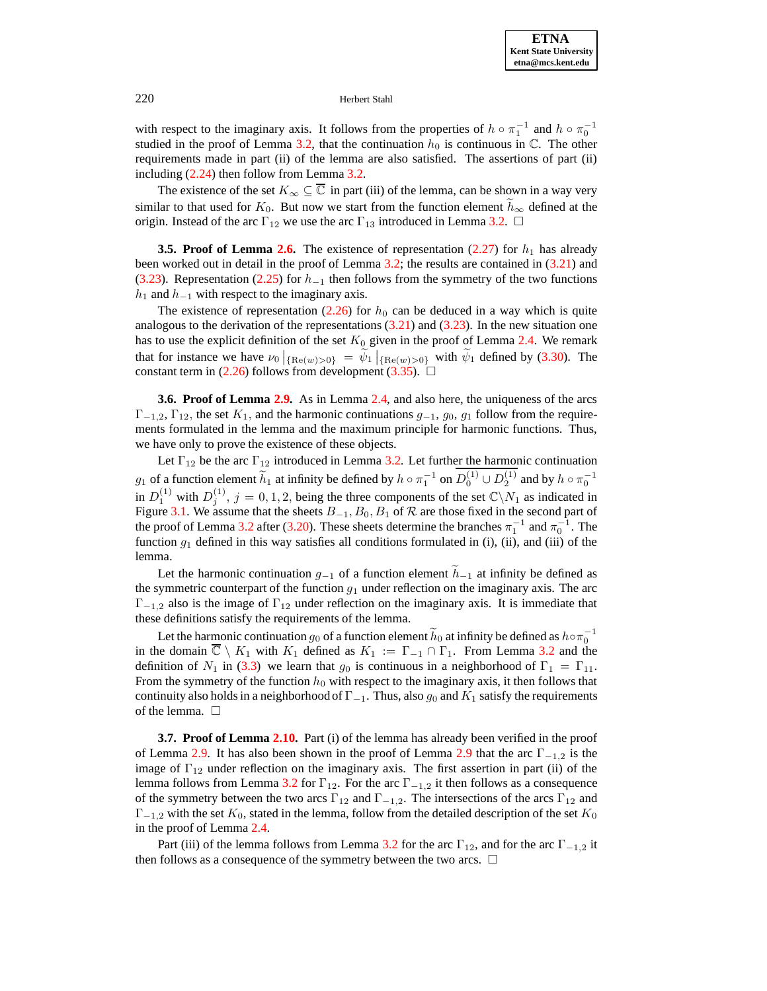with respect to the imaginary axis. It follows from the properties of  $h \circ \pi_1^{-1}$  and  $h \circ \pi_0^{-1}$ studied in the proof of Lemma [3.2,](#page-19-1) that the continuation  $h_0$  is continuous in  $\mathbb{C}$ . The other requirements made in part (ii) of the lemma are also satisfied. The assertions of part (ii) including [\(2.24\)](#page-10-1) then follow from Lemma [3.2.](#page-19-1)

The existence of the set  $K_{\infty} \subseteq \overline{\mathbb{C}}$  in part (iii) of the lemma, can be shown in a way very similar to that used for  $K_0$ . But now we start from the function element  $\tilde{h}_{\infty}$  defined at the origin. Instead of the arc  $\Gamma_{12}$  we use the arc  $\Gamma_{13}$  introduced in Lemma [3.2.](#page-19-1)  $\Box$ 

**3.5. Proof of Lemma [2.6.](#page-12-0)** The existence of representation  $(2.27)$  for  $h_1$  has already been worked out in detail in the proof of Lemma [3.2;](#page-19-1) the results are contained in [\(3.21\)](#page-22-4) and [\(3.23\)](#page-22-2). Representation [\(2.25\)](#page-12-4) for  $h_{-1}$  then follows from the symmetry of the two functions  $h_1$  and  $h_{-1}$  with respect to the imaginary axis.

The existence of representation [\(2.26\)](#page-12-5) for  $h_0$  can be deduced in a way which is quite analogous to the derivation of the representations  $(3.21)$  and  $(3.23)$ . In the new situation one has to use the explicit definition of the set  $K_0$  given in the proof of Lemma [2.4.](#page-10-0) We remark that for instance we have  $\nu_0|_{\{\text{Re}(w)>0\}} = \tilde{\psi}_1|_{\{\text{Re}(w)>0\}}$  with  $\tilde{\psi}_1$  defined by [\(3.30\)](#page-23-2). The constant term in [\(2.26\)](#page-12-5) follows from development [\(3.35\)](#page-24-3).  $\Box$ 

**3.6. Proof of Lemma [2.9.](#page-13-1)** As in Lemma [2.4,](#page-10-0) and also here, the uniqueness of the arcs  $\Gamma_{-1,2}$ ,  $\Gamma_{12}$ , the set  $K_1$ , and the harmonic continuations  $g_{-1}$ ,  $g_0$ ,  $g_1$  follow from the requirements formulated in the lemma and the maximum principle for harmonic functions. Thus, we have only to prove the existence of these objects.

Let  $\Gamma_{12}$  be the arc  $\Gamma_{12}$  introduced in Lemma [3.2.](#page-19-1) Let further the harmonic continuation  $g_1$  of a function element  $\widetilde{h}_1$  at infinity be defined by  $h \circ \pi_1^{-1}$  on  $D_0^{(1)} \cup D_2^{(1)}$  and by  $h \circ \pi_0^{-1}$ in  $D_1^{(1)}$  with  $D_j^{(1)}$ ,  $j = 0, 1, 2$ , being the three components of the set  $\mathbb{C}\setminus N_1$  as indicated in Figure [3.1.](#page-20-0) We assume that the sheets  $B_{-1}$ ,  $B_0$ ,  $B_1$  of  $R$  are those fixed in the second part of the proof of Lemma [3.2](#page-19-1) after [\(3.20\)](#page-22-0). These sheets determine the branches  $\pi_1^{-1}$  and  $\pi_0^{-1}$ . The function  $g_1$  defined in this way satisfies all conditions formulated in (i), (ii), and (iii) of the lemma.

Let the harmonic continuation  $g_{-1}$  of a function element  $\tilde{h}_{-1}$  at infinity be defined as the symmetric counterpart of the function  $g_1$  under reflection on the imaginary axis. The arc  $\Gamma_{-1,2}$  also is the image of  $\Gamma_{12}$  under reflection on the imaginary axis. It is immediate that these definitions satisfy the requirements of the lemma.

Let the harmonic continuation  $g_0$  of a function element  $\widetilde{h}_0$  at infinity be defined as  $h \circ \pi_0^{-1}$ in the domain  $\overline{\mathbb{C}} \setminus K_1$  with  $K_1$  defined as  $K_1 := \Gamma_{-1} \cap \Gamma_1$ . From Lemma [3.2](#page-19-1) and the definition of  $N_1$  in [\(3.3\)](#page-19-2) we learn that  $g_0$  is continuous in a neighborhood of  $\Gamma_1 = \Gamma_{11}$ . From the symmetry of the function  $h_0$  with respect to the imaginary axis, it then follows that continuity also holds in a neighborhood of  $\Gamma_{-1}$ . Thus, also  $g_0$  and  $K_1$  satisfy the requirements of the lemma.  $\square$ 

**3.7. Proof of Lemma [2.10.](#page-14-2)** Part (i) of the lemma has already been verified in the proof of Lemma [2.9.](#page-13-1) It has also been shown in the proof of Lemma [2.9](#page-13-1) that the arc  $\Gamma_{-1,2}$  is the image of  $\Gamma_{12}$  under reflection on the imaginary axis. The first assertion in part (ii) of the lemma follows from Lemma [3.2](#page-19-1) for  $\Gamma_{12}$ . For the arc  $\Gamma_{-1,2}$  it then follows as a consequence of the symmetry between the two arcs  $\Gamma_{12}$  and  $\Gamma_{-1,2}$ . The intersections of the arcs  $\Gamma_{12}$  and  $\Gamma_{-1,2}$  with the set  $K_0$ , stated in the lemma, follow from the detailed description of the set  $K_0$ in the proof of Lemma [2.4.](#page-10-0)

Part (iii) of the lemma follows from Lemma [3.2](#page-19-1) for the arc  $\Gamma_{12}$ , and for the arc  $\Gamma_{-1,2}$  it then follows as a consequence of the symmetry between the two arcs.  $\Box$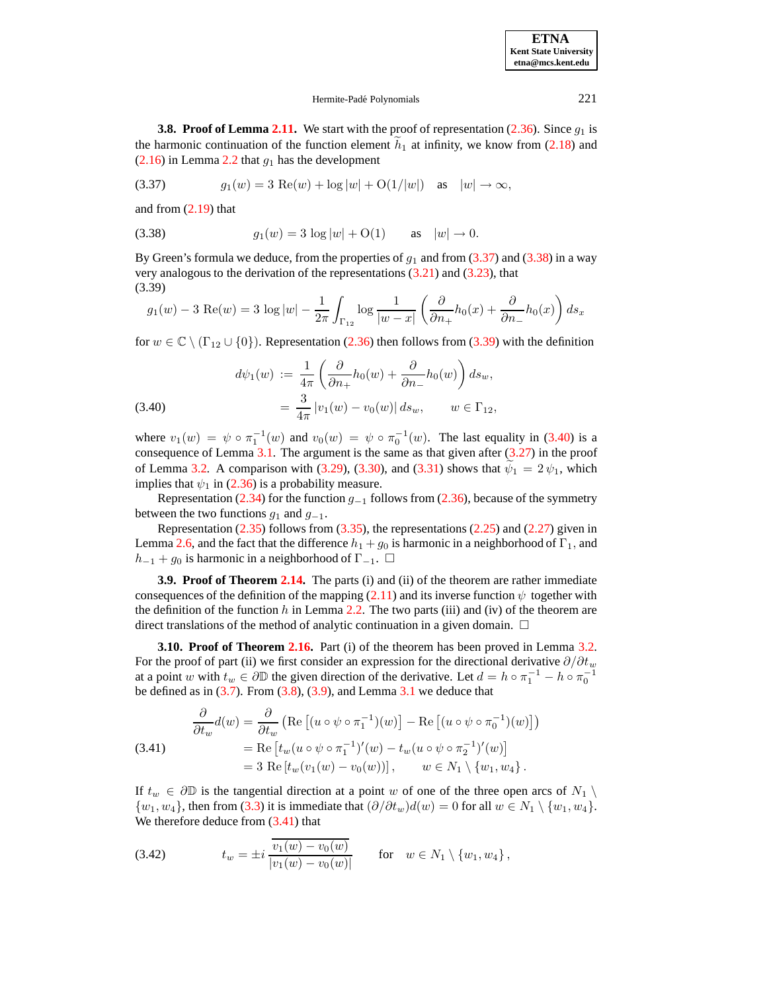# <span id="page-26-2"></span><span id="page-26-0"></span>Hermite-Padé Polynomials 221

**3.8. Proof of Lemma [2.11.](#page-14-0)** We start with the proof of representation  $(2.36)$ . Since  $g_1$  is the harmonic continuation of the function element  $h_1$  at infinity, we know from [\(2.18\)](#page-9-4) and  $(2.16)$  in Lemma [2.2](#page-9-7) that  $g_1$  has the development

<span id="page-26-1"></span>(3.37) 
$$
g_1(w) = 3 \text{ Re}(w) + \log |w| + O(1/|w|) \text{ as } |w| \to \infty,
$$

and from [\(2.19\)](#page-9-5) that

(3.38) 
$$
g_1(w) = 3 \log |w| + O(1)
$$
 as  $|w| \to 0$ .

By Green's formula we deduce, from the properties of  $g_1$  and from [\(3.37\)](#page-26-0) and [\(3.38\)](#page-26-1) in a way very analogous to the derivation of the representations  $(3.21)$  and  $(3.23)$ , that (3.39)

$$
g_1(w)-3\,\mathop{\rm Re}(w)=3\,\log |w|-\frac{1}{2\pi}\int_{\Gamma_{12}}\log\frac{1}{|w-x|}\left(\frac{\partial}{\partial n_+}h_0(x)+\frac{\partial}{\partial n_-}h_0(x)\right)ds_x
$$

for  $w \in \mathbb{C} \setminus (\Gamma_{12} \cup \{0\})$ . Representation [\(2.36\)](#page-14-3) then follows from [\(3.39\)](#page-26-2) with the definition

<span id="page-26-3"></span>(3.40) 
$$
d\psi_1(w) := \frac{1}{4\pi} \left( \frac{\partial}{\partial n_+} h_0(w) + \frac{\partial}{\partial n_-} h_0(w) \right) ds_w,
$$

$$
= \frac{3}{4\pi} |v_1(w) - v_0(w)| ds_w, \qquad w \in \Gamma_{12},
$$

where  $v_1(w) = \psi \circ \pi_1^{-1}(w)$  and  $v_0(w) = \psi \circ \pi_0^{-1}(w)$ . The last equality in [\(3.40\)](#page-26-3) is a consequence of Lemma [3.1.](#page-19-3) The argument is the same as that given after [\(3.27\)](#page-23-1) in the proof of Lemma [3.2.](#page-19-1) A comparison with [\(3.29\)](#page-23-4), [\(3.30\)](#page-23-2), and [\(3.31\)](#page-23-3) shows that  $\psi_1 = 2 \psi_1$ , which implies that  $\psi_1$  in [\(2.36\)](#page-14-3) is a probability measure.

Representation [\(2.34\)](#page-14-4) for the function  $g_{-1}$  follows from [\(2.36\)](#page-14-3), because of the symmetry between the two functions  $g_1$  and  $g_{-1}$ .

Representation  $(2.35)$  follows from  $(3.35)$ , the representations  $(2.25)$  and  $(2.27)$  given in Lemma [2.6,](#page-12-0) and the fact that the difference  $h_1 + g_0$  is harmonic in a neighborhood of  $\Gamma_1$ , and  $h_{-1}$  +  $g_0$  is harmonic in a neighborhood of  $\Gamma_{-1}$ .  $\Box$ 

**3.9. Proof of Theorem [2.14.](#page-16-2)** The parts (i) and (ii) of the theorem are rather immediate consequences of the definition of the mapping [\(2.11\)](#page-8-2) and its inverse function  $\psi$  together with the definition of the function h in Lemma [2.2.](#page-9-7) The two parts (iii) and (iv) of the theorem are direct translations of the method of analytic continuation in a given domain.  $\Box$ 

**3.10. Proof of Theorem [2.16.](#page-17-0)** Part (i) of the theorem has been proved in Lemma [3.2.](#page-19-1) For the proof of part (ii) we first consider an expression for the directional derivative  $\partial/\partial t_w$ at a point w with  $t_w \in \partial \mathbb{D}$  the given direction of the derivative. Let  $d = h \circ \pi_1^{-1} - h \circ \pi_0^{-1}$ be defined as in  $(3.7)$ . From  $(3.8)$ ,  $(3.9)$ , and Lemma  $3.1$  we deduce that

<span id="page-26-4"></span>(3.41) 
$$
\begin{aligned}\n\frac{\partial}{\partial t_w} d(w) &= \frac{\partial}{\partial t_w} \left( \text{Re} \left[ (u \circ \psi \circ \pi_1^{-1})(w) \right] - \text{Re} \left[ (u \circ \psi \circ \pi_0^{-1})(w) \right] \right) \\
&= \text{Re} \left[ t_w (u \circ \psi \circ \pi_1^{-1})'(w) - t_w (u \circ \psi \circ \pi_2^{-1})'(w) \right] \\
&= 3 \text{ Re} \left[ t_w (v_1(w) - v_0(w)) \right], \qquad w \in N_1 \setminus \{w_1, w_4\}.\n\end{aligned}
$$

If  $t_w \in \partial \mathbb{D}$  is the tangential direction at a point w of one of the three open arcs of  $N_1 \setminus$  $\{w_1, w_4\}$ , then from [\(3.3\)](#page-19-2) it is immediate that  $(\partial/\partial t_w)d(w) = 0$  for all  $w \in N_1 \setminus \{w_1, w_4\}$ . We therefore deduce from  $(3.41)$  that

(3.42) 
$$
t_w = \pm i \frac{\overline{v_1(w) - v_0(w)}}{|v_1(w) - v_0(w)|} \quad \text{for} \quad w \in N_1 \setminus \{w_1, w_4\},
$$